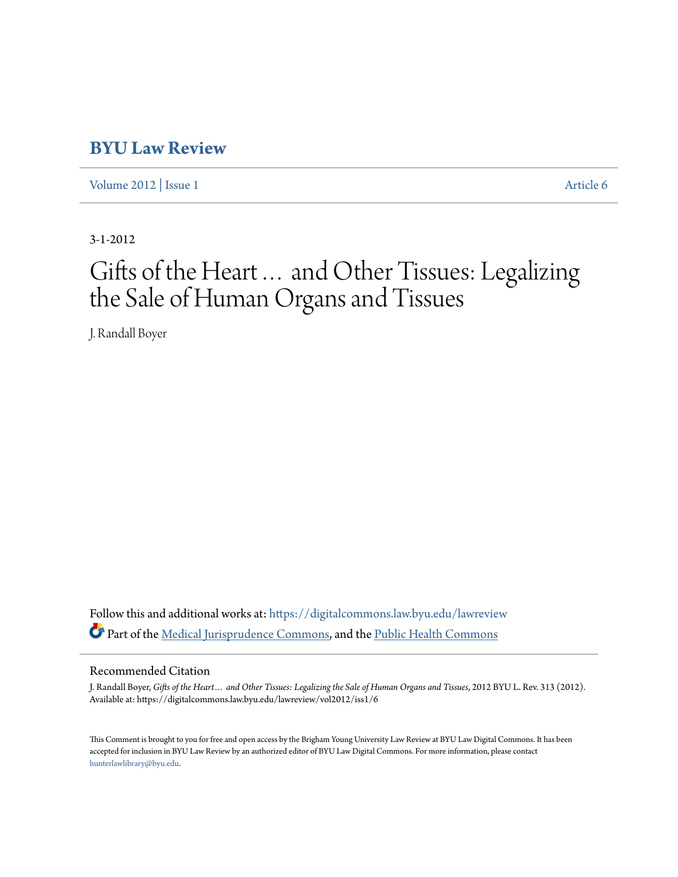# **[BYU Law Review](https://digitalcommons.law.byu.edu/lawreview?utm_source=digitalcommons.law.byu.edu%2Flawreview%2Fvol2012%2Fiss1%2F6&utm_medium=PDF&utm_campaign=PDFCoverPages)**

[Volume 2012](https://digitalcommons.law.byu.edu/lawreview/vol2012?utm_source=digitalcommons.law.byu.edu%2Flawreview%2Fvol2012%2Fiss1%2F6&utm_medium=PDF&utm_campaign=PDFCoverPages) | [Issue 1](https://digitalcommons.law.byu.edu/lawreview/vol2012/iss1?utm_source=digitalcommons.law.byu.edu%2Flawreview%2Fvol2012%2Fiss1%2F6&utm_medium=PDF&utm_campaign=PDFCoverPages) [Article 6](https://digitalcommons.law.byu.edu/lawreview/vol2012/iss1/6?utm_source=digitalcommons.law.byu.edu%2Flawreview%2Fvol2012%2Fiss1%2F6&utm_medium=PDF&utm_campaign=PDFCoverPages)

3-1-2012

# Gifts of the Heart… and Other Tissues: Legalizing the Sale of Human Organs and Tissues

J. Randall Boyer

Follow this and additional works at: [https://digitalcommons.law.byu.edu/lawreview](https://digitalcommons.law.byu.edu/lawreview?utm_source=digitalcommons.law.byu.edu%2Flawreview%2Fvol2012%2Fiss1%2F6&utm_medium=PDF&utm_campaign=PDFCoverPages) Part of the [Medical Jurisprudence Commons,](http://network.bepress.com/hgg/discipline/860?utm_source=digitalcommons.law.byu.edu%2Flawreview%2Fvol2012%2Fiss1%2F6&utm_medium=PDF&utm_campaign=PDFCoverPages) and the [Public Health Commons](http://network.bepress.com/hgg/discipline/738?utm_source=digitalcommons.law.byu.edu%2Flawreview%2Fvol2012%2Fiss1%2F6&utm_medium=PDF&utm_campaign=PDFCoverPages)

### Recommended Citation

J. Randall Boyer, *Gifts of the Heart… and Other Tissues: Legalizing the Sale of Human Organs and Tissues*, 2012 BYU L. Rev. 313 (2012). Available at: https://digitalcommons.law.byu.edu/lawreview/vol2012/iss1/6

This Comment is brought to you for free and open access by the Brigham Young University Law Review at BYU Law Digital Commons. It has been accepted for inclusion in BYU Law Review by an authorized editor of BYU Law Digital Commons. For more information, please contact [hunterlawlibrary@byu.edu.](mailto:hunterlawlibrary@byu.edu)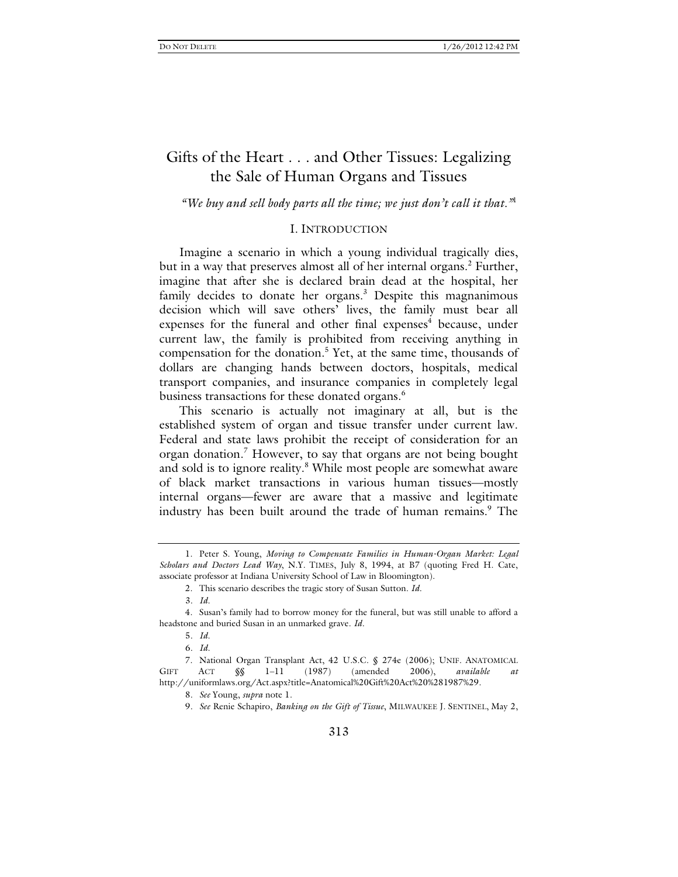## Gifts of the Heart . . . and Other Tissues: Legalizing the Sale of Human Organs and Tissues

#### *"We buy and sell body parts all the time; we just don't call it that."*<sup>1</sup>

#### I. INTRODUCTION

Imagine a scenario in which a young individual tragically dies, but in a way that preserves almost all of her internal organs.<sup>2</sup> Further, imagine that after she is declared brain dead at the hospital, her family decides to donate her organs. $3$  Despite this magnanimous decision which will save others' lives, the family must bear all expenses for the funeral and other final expenses<sup>4</sup> because, under current law, the family is prohibited from receiving anything in compensation for the donation.<sup>5</sup> Yet, at the same time, thousands of dollars are changing hands between doctors, hospitals, medical transport companies, and insurance companies in completely legal business transactions for these donated organs.<sup>6</sup>

This scenario is actually not imaginary at all, but is the established system of organ and tissue transfer under current law. Federal and state laws prohibit the receipt of consideration for an organ donation.<sup>7</sup> However, to say that organs are not being bought and sold is to ignore reality.<sup>8</sup> While most people are somewhat aware of black market transactions in various human tissues—mostly internal organs—fewer are aware that a massive and legitimate industry has been built around the trade of human remains.<sup>9</sup> The

 7. National Organ Transplant Act, 42 U.S.C. § 274e (2006); UNIF. ANATOMICAL GIFT ACT  $\S\$  1-11 (1987) (amended 2006), available http://uniformlaws.org/Act.aspx?title=Anatomical%20Gift%20Act%20%281987%29.

8*. See* Young, *supra* note 1.

9*. See* Renie Schapiro, *Banking on the Gift of Tissue*, MILWAUKEE J. SENTINEL, May 2,

 <sup>1.</sup> Peter S. Young, *Moving to Compensate Families in Human-Organ Market: Legal Scholars and Doctors Lead Way*, N.Y. TIMES, July 8, 1994, at B7 (quoting Fred H. Cate, associate professor at Indiana University School of Law in Bloomington).

 <sup>2.</sup> This scenario describes the tragic story of Susan Sutton. *Id.*

<sup>3</sup>*. Id.*

 <sup>4.</sup> Susan's family had to borrow money for the funeral, but was still unable to afford a headstone and buried Susan in an unmarked grave. *Id.*

<sup>5</sup>*. Id.*

<sup>6</sup>*. Id.*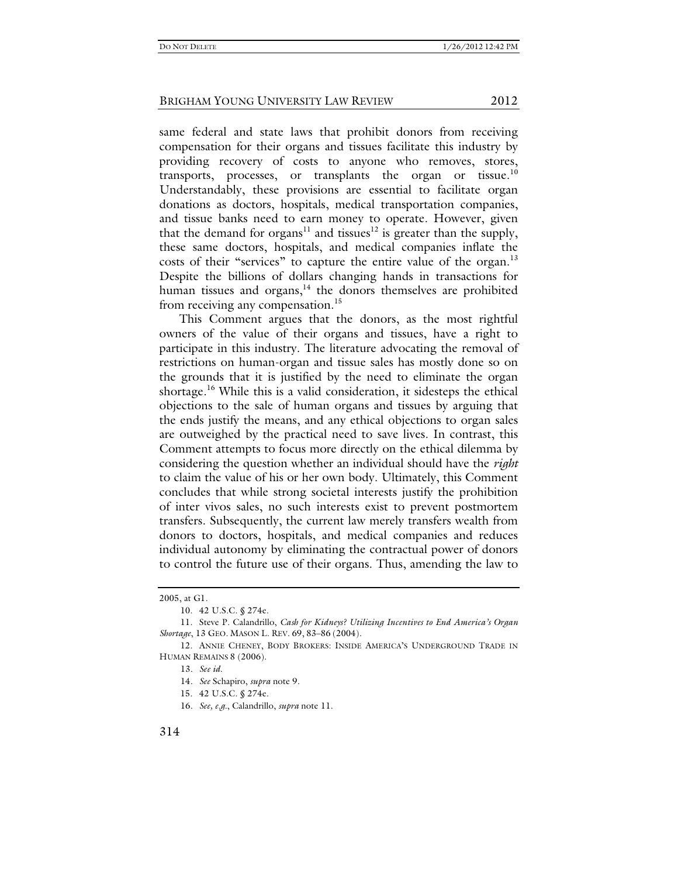same federal and state laws that prohibit donors from receiving compensation for their organs and tissues facilitate this industry by providing recovery of costs to anyone who removes, stores, transports, processes, or transplants the organ or tissue.<sup>10</sup> Understandably, these provisions are essential to facilitate organ donations as doctors, hospitals, medical transportation companies, and tissue banks need to earn money to operate. However, given that the demand for organs<sup>11</sup> and tissues<sup>12</sup> is greater than the supply, these same doctors, hospitals, and medical companies inflate the costs of their "services" to capture the entire value of the organ.<sup>13</sup> Despite the billions of dollars changing hands in transactions for human tissues and organs, $14$  the donors themselves are prohibited from receiving any compensation.<sup>15</sup>

This Comment argues that the donors, as the most rightful owners of the value of their organs and tissues, have a right to participate in this industry. The literature advocating the removal of restrictions on human-organ and tissue sales has mostly done so on the grounds that it is justified by the need to eliminate the organ shortage.<sup>16</sup> While this is a valid consideration, it sidesteps the ethical objections to the sale of human organs and tissues by arguing that the ends justify the means, and any ethical objections to organ sales are outweighed by the practical need to save lives. In contrast, this Comment attempts to focus more directly on the ethical dilemma by considering the question whether an individual should have the *right* to claim the value of his or her own body. Ultimately, this Comment concludes that while strong societal interests justify the prohibition of inter vivos sales, no such interests exist to prevent postmortem transfers. Subsequently, the current law merely transfers wealth from donors to doctors, hospitals, and medical companies and reduces individual autonomy by eliminating the contractual power of donors to control the future use of their organs. Thus, amending the law to

15. 42 U.S.C. § 274e.

<sup>2005,</sup> at G1.

 <sup>10. 42</sup> U.S.C. § 274e.

 <sup>11.</sup> Steve P. Calandrillo, *Cash for Kidneys? Utilizing Incentives to End America's Organ Shortage*, 13 GEO. MASON L. REV. 69, 83–86 (2004).

 <sup>12.</sup> ANNIE CHENEY, BODY BROKERS: INSIDE AMERICA'S UNDERGROUND TRADE IN HUMAN REMAINS 8 (2006).

<sup>13</sup>*. See id.*

<sup>14</sup>*. See* Schapiro, *supra* note 9.

<sup>16</sup>*. See, e.g.*, Calandrillo, *supra* note 11.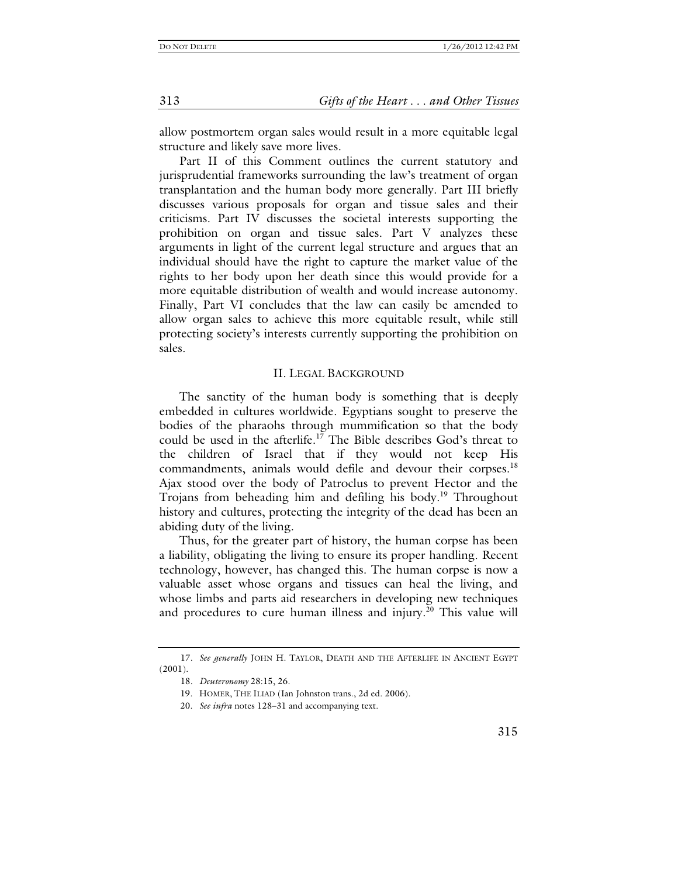allow postmortem organ sales would result in a more equitable legal structure and likely save more lives.

Part II of this Comment outlines the current statutory and jurisprudential frameworks surrounding the law's treatment of organ transplantation and the human body more generally. Part III briefly discusses various proposals for organ and tissue sales and their criticisms. Part IV discusses the societal interests supporting the prohibition on organ and tissue sales. Part V analyzes these arguments in light of the current legal structure and argues that an individual should have the right to capture the market value of the rights to her body upon her death since this would provide for a more equitable distribution of wealth and would increase autonomy. Finally, Part VI concludes that the law can easily be amended to allow organ sales to achieve this more equitable result, while still protecting society's interests currently supporting the prohibition on sales.

#### II. LEGAL BACKGROUND

The sanctity of the human body is something that is deeply embedded in cultures worldwide. Egyptians sought to preserve the bodies of the pharaohs through mummification so that the body could be used in the afterlife.<sup>17</sup> The Bible describes God's threat to the children of Israel that if they would not keep His commandments, animals would defile and devour their corpses.<sup>18</sup> Ajax stood over the body of Patroclus to prevent Hector and the Trojans from beheading him and defiling his body.<sup>19</sup> Throughout history and cultures, protecting the integrity of the dead has been an abiding duty of the living.

Thus, for the greater part of history, the human corpse has been a liability, obligating the living to ensure its proper handling. Recent technology, however, has changed this. The human corpse is now a valuable asset whose organs and tissues can heal the living, and whose limbs and parts aid researchers in developing new techniques and procedures to cure human illness and injury.<sup>20</sup> This value will

313 *Gifts of the Heart . . . and Other Tissues*

<sup>17</sup>*. See generally* JOHN H. TAYLOR, DEATH AND THE AFTERLIFE IN ANCIENT EGYPT (2001).

<sup>18</sup>*. Deuteronomy* 28:15, 26.

 <sup>19.</sup> HOMER, THE ILIAD (Ian Johnston trans., 2d ed. 2006).

 <sup>20.</sup> *See infra* notes 128–31 and accompanying text.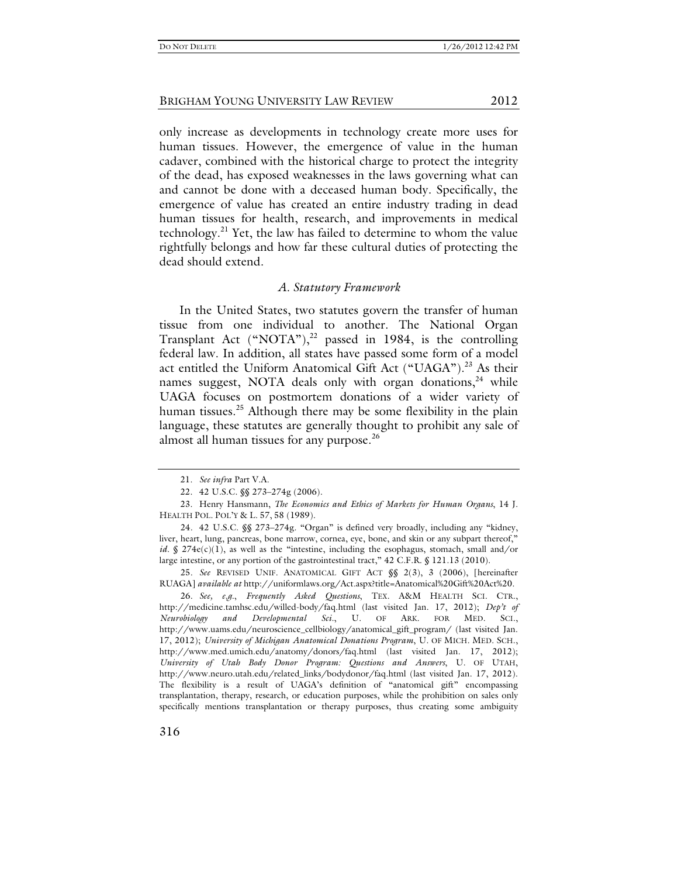only increase as developments in technology create more uses for human tissues. However, the emergence of value in the human cadaver, combined with the historical charge to protect the integrity of the dead, has exposed weaknesses in the laws governing what can and cannot be done with a deceased human body. Specifically, the emergence of value has created an entire industry trading in dead human tissues for health, research, and improvements in medical technology.<sup>21</sup> Yet, the law has failed to determine to whom the value rightfully belongs and how far these cultural duties of protecting the dead should extend.

#### *A. Statutory Framework*

In the United States, two statutes govern the transfer of human tissue from one individual to another. The National Organ Transplant Act  $(^{\omega}NOTA^{\omega})$ ,<sup>22</sup> passed in 1984, is the controlling federal law. In addition, all states have passed some form of a model act entitled the Uniform Anatomical Gift Act ("UAGA").<sup>23</sup> As their names suggest, NOTA deals only with organ donations, $^{24}$  while UAGA focuses on postmortem donations of a wider variety of human tissues.<sup>25</sup> Although there may be some flexibility in the plain language, these statutes are generally thought to prohibit any sale of almost all human tissues for any purpose.<sup>26</sup>

25*. See* REVISED UNIF. ANATOMICAL GIFT ACT §§ 2(3), 3 (2006), [hereinafter RUAGA] *available at* http://uniformlaws.org/Act.aspx?title=Anatomical%20Gift%20Act%20.

26*. See, e.g.*, *Frequently Asked Questions*, TEX. A&M HEALTH SCI. CTR., http://medicine.tamhsc.edu/willed-body/faq.html (last visited Jan. 17, 2012); *Dep't of Neurobiology and Developmental Sci.*, U. OF ARK. FOR MED. SCI., http://www.uams.edu/neuroscience\_cellbiology/anatomical\_gift\_program/ (last visited Jan. 17, 2012); *University of Michigan Anatomical Donations Program*, U. OF MICH. MED. SCH., http://www.med.umich.edu/anatomy/donors/faq.html (last visited Jan. 17, 2012); *University of Utah Body Donor Program: Questions and Answers*, U. OF UTAH, http://www.neuro.utah.edu/related\_links/bodydonor/faq.html (last visited Jan. 17, 2012). The flexibility is a result of UAGA's definition of "anatomical gift" encompassing transplantation, therapy, research, or education purposes, while the prohibition on sales only specifically mentions transplantation or therapy purposes, thus creating some ambiguity

 <sup>21.</sup> *See infra* Part V.A.

 <sup>22. 42</sup> U.S.C. §§ 273–274g (2006).

 <sup>23.</sup> Henry Hansmann, *The Economics and Ethics of Markets for Human Organs*, 14 J. HEALTH POL. POL'Y & L. 57, 58 (1989).

<sup>24</sup>*.* 42 U.S.C. §§ 273–274g. "Organ" is defined very broadly, including any "kidney, liver, heart, lung, pancreas, bone marrow, cornea, eye, bone, and skin or any subpart thereof," *id.* § 274 $e(c)(1)$ , as well as the "intestine, including the esophagus, stomach, small and/or large intestine, or any portion of the gastrointestinal tract," 42 C.F.R. § 121.13 (2010).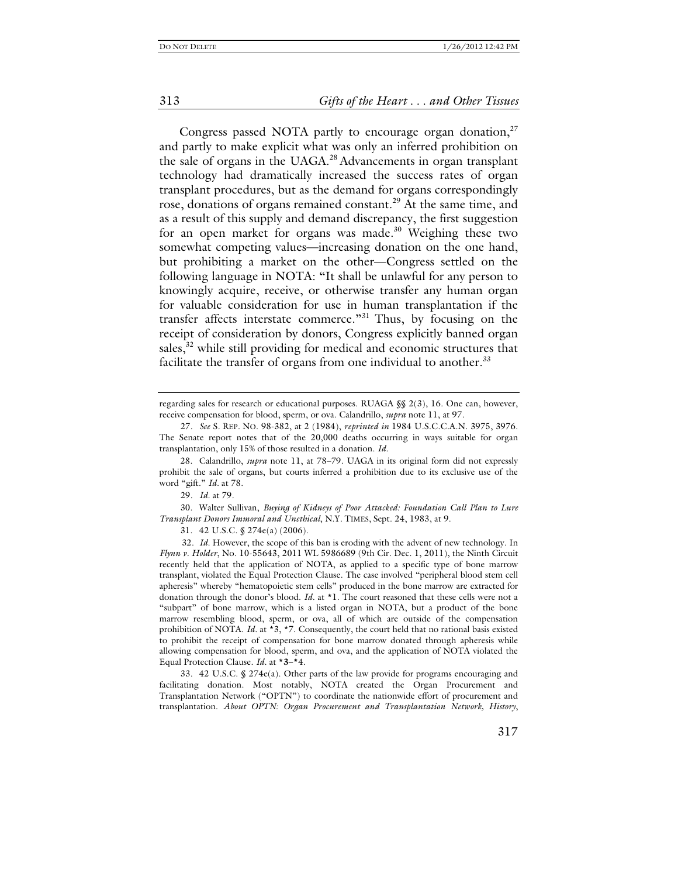#### 313 *Gifts of the Heart . . . and Other Tissues*

Congress passed NOTA partly to encourage organ donation, $27$ and partly to make explicit what was only an inferred prohibition on the sale of organs in the UAGA.<sup>28</sup> Advancements in organ transplant technology had dramatically increased the success rates of organ transplant procedures, but as the demand for organs correspondingly rose, donations of organs remained constant.<sup>29</sup> At the same time, and as a result of this supply and demand discrepancy, the first suggestion for an open market for organs was made. $30$  Weighing these two somewhat competing values—increasing donation on the one hand, but prohibiting a market on the other—Congress settled on the following language in NOTA: "It shall be unlawful for any person to knowingly acquire, receive, or otherwise transfer any human organ for valuable consideration for use in human transplantation if the transfer affects interstate commerce."<sup>31</sup> Thus, by focusing on the receipt of consideration by donors, Congress explicitly banned organ sales, $32$  while still providing for medical and economic structures that facilitate the transfer of organs from one individual to another.<sup>33</sup>

 30. Walter Sullivan, *Buying of Kidneys of Poor Attacked: Foundation Call Plan to Lure Transplant Donors Immoral and Unethical*, N.Y. TIMES, Sept. 24, 1983, at 9.

31. 42 U.S.C. § 274e(a) (2006).

32. *Id.* However, the scope of this ban is eroding with the advent of new technology. In *Flynn v. Holder*, No. 10-55643, 2011 WL 5986689 (9th Cir. Dec. 1, 2011), the Ninth Circuit recently held that the application of NOTA, as applied to a specific type of bone marrow transplant, violated the Equal Protection Clause. The case involved "peripheral blood stem cell apheresis" whereby "hematopoietic stem cells" produced in the bone marrow are extracted for donation through the donor's blood. *Id.* at \*1. The court reasoned that these cells were not a "subpart" of bone marrow, which is a listed organ in NOTA, but a product of the bone marrow resembling blood, sperm, or ova, all of which are outside of the compensation prohibition of NOTA. *Id.* at \*3, \*7. Consequently, the court held that no rational basis existed to prohibit the receipt of compensation for bone marrow donated through apheresis while allowing compensation for blood, sperm, and ova, and the application of NOTA violated the Equal Protection Clause. *Id.* at \***3–\***4.

33*.* 42 U.S.C. § 274e(a). Other parts of the law provide for programs encouraging and facilitating donation. Most notably, NOTA created the Organ Procurement and Transplantation Network ("OPTN") to coordinate the nationwide effort of procurement and transplantation. *About OPTN: Organ Procurement and Transplantation Network, History*,

regarding sales for research or educational purposes. RUAGA §§ 2(3), 16. One can, however, receive compensation for blood, sperm, or ova. Calandrillo, *supra* note 11, at 97.

<sup>27</sup>*. See* S. REP. NO. 98-382, at 2 (1984), *reprinted in* 1984 U.S.C.C.A.N. 3975, 3976. The Senate report notes that of the 20,000 deaths occurring in ways suitable for organ transplantation, only 15% of those resulted in a donation. *Id.*

 <sup>28.</sup> Calandrillo, *supra* note 11, at 78–79. UAGA in its original form did not expressly prohibit the sale of organs, but courts inferred a prohibition due to its exclusive use of the word "gift." *Id.* at 78.

<sup>29</sup>*. Id.* at 79.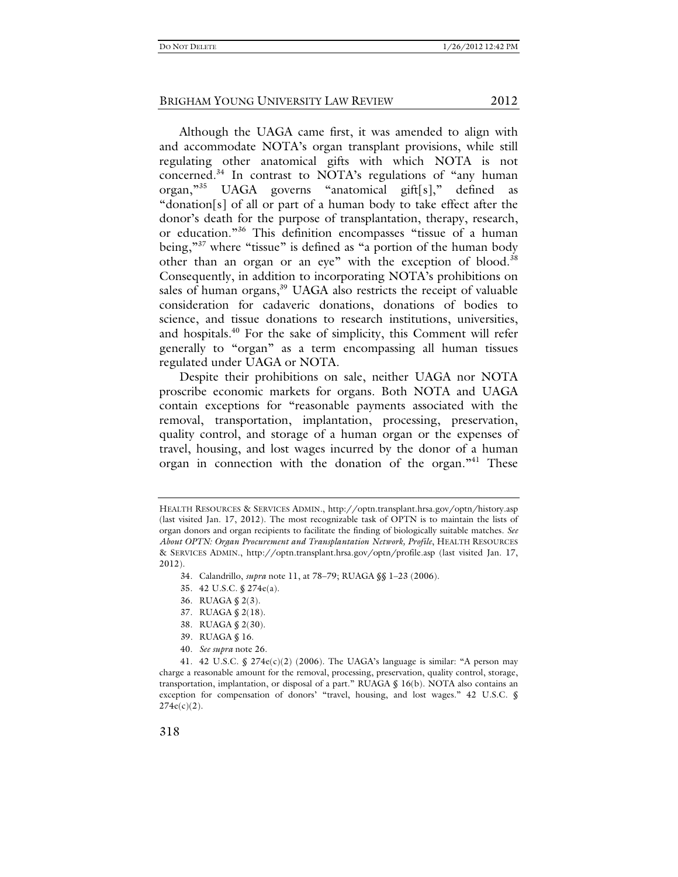Although the UAGA came first, it was amended to align with and accommodate NOTA's organ transplant provisions, while still regulating other anatomical gifts with which NOTA is not concerned.<sup>34</sup> In contrast to NOTA's regulations of "any human organ,"35 UAGA governs "anatomical gift[s]," defined as "donation[s] of all or part of a human body to take effect after the donor's death for the purpose of transplantation, therapy, research, or education."36 This definition encompasses "tissue of a human being,"37 where "tissue" is defined as "a portion of the human body other than an organ or an eye" with the exception of blood.<sup>38</sup> Consequently, in addition to incorporating NOTA's prohibitions on sales of human organs,<sup>39</sup> UAGA also restricts the receipt of valuable consideration for cadaveric donations, donations of bodies to science, and tissue donations to research institutions, universities, and hospitals.<sup>40</sup> For the sake of simplicity, this Comment will refer generally to "organ" as a term encompassing all human tissues regulated under UAGA or NOTA.

Despite their prohibitions on sale, neither UAGA nor NOTA proscribe economic markets for organs. Both NOTA and UAGA contain exceptions for "reasonable payments associated with the removal, transportation, implantation, processing, preservation, quality control, and storage of a human organ or the expenses of travel, housing, and lost wages incurred by the donor of a human organ in connection with the donation of the organ.<sup>"41</sup> These

- 34. Calandrillo, *supra* note 11, at 78–79; RUAGA §§ 1–23 (2006).
- 35. 42 U.S.C. § 274e(a).
- 36. RUAGA § 2(3).
- 37. RUAGA § 2(18).
- 38. RUAGA § 2(30).
- 39*.* RUAGA § 16.
- 40. *See supra* note 26.

41. 42 U.S.C.  $\frac{6}{5}$  274e(c)(2) (2006). The UAGA's language is similar: "A person may charge a reasonable amount for the removal, processing, preservation, quality control, storage, transportation, implantation, or disposal of a part." RUAGA § 16(b). NOTA also contains an exception for compensation of donors' "travel, housing, and lost wages." 42 U.S.C. §  $274e(c)(2)$ .

HEALTH RESOURCES & SERVICES ADMIN., http://optn.transplant.hrsa.gov/optn/history.asp (last visited Jan. 17, 2012). The most recognizable task of OPTN is to maintain the lists of organ donors and organ recipients to facilitate the finding of biologically suitable matches. *See About OPTN: Organ Procurement and Transplantation Network, Profile*, HEALTH RESOURCES & SERVICES ADMIN., http://optn.transplant.hrsa.gov/optn/profile.asp (last visited Jan. 17, 2012).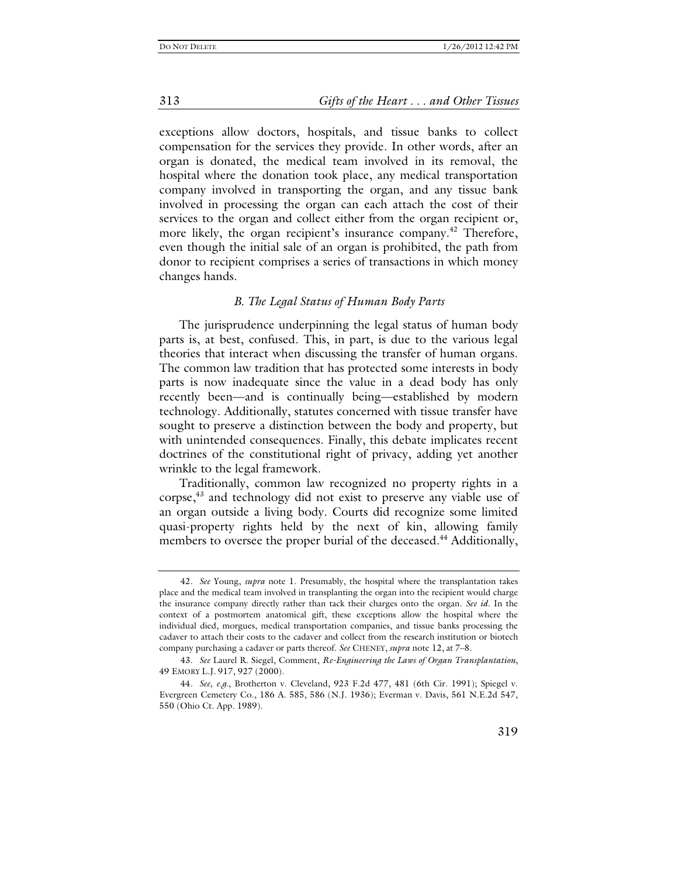313 *Gifts of the Heart . . . and Other Tissues*

exceptions allow doctors, hospitals, and tissue banks to collect compensation for the services they provide. In other words, after an organ is donated, the medical team involved in its removal, the hospital where the donation took place, any medical transportation company involved in transporting the organ, and any tissue bank involved in processing the organ can each attach the cost of their services to the organ and collect either from the organ recipient or, more likely, the organ recipient's insurance company.<sup>42</sup> Therefore, even though the initial sale of an organ is prohibited, the path from donor to recipient comprises a series of transactions in which money changes hands.

#### *B. The Legal Status of Human Body Parts*

The jurisprudence underpinning the legal status of human body parts is, at best, confused. This, in part, is due to the various legal theories that interact when discussing the transfer of human organs. The common law tradition that has protected some interests in body parts is now inadequate since the value in a dead body has only recently been—and is continually being—established by modern technology. Additionally, statutes concerned with tissue transfer have sought to preserve a distinction between the body and property, but with unintended consequences. Finally, this debate implicates recent doctrines of the constitutional right of privacy, adding yet another wrinkle to the legal framework.

Traditionally, common law recognized no property rights in a corpse,<sup>43</sup> and technology did not exist to preserve any viable use of an organ outside a living body. Courts did recognize some limited quasi-property rights held by the next of kin, allowing family members to oversee the proper burial of the deceased.<sup>44</sup> Additionally,

<sup>42</sup>*. See* Young, *supra* note 1. Presumably, the hospital where the transplantation takes place and the medical team involved in transplanting the organ into the recipient would charge the insurance company directly rather than tack their charges onto the organ. *See id*. In the context of a postmortem anatomical gift, these exceptions allow the hospital where the individual died, morgues, medical transportation companies, and tissue banks processing the cadaver to attach their costs to the cadaver and collect from the research institution or biotech company purchasing a cadaver or parts thereof. *See* CHENEY, *supra* note 12, at 7–8.

<sup>43</sup>*. See* Laurel R. Siegel, Comment, *Re-Engineering the Laws of Organ Transplantation*, 49 EMORY L.J. 917, 927 (2000).

<sup>44</sup>*. See, e.g.*, Brotherton v. Cleveland, 923 F.2d 477, 481 (6th Cir. 1991); Spiegel v. Evergreen Cemetery Co., 186 A. 585, 586 (N.J. 1936); Everman v. Davis, 561 N.E.2d 547, 550 (Ohio Ct. App. 1989).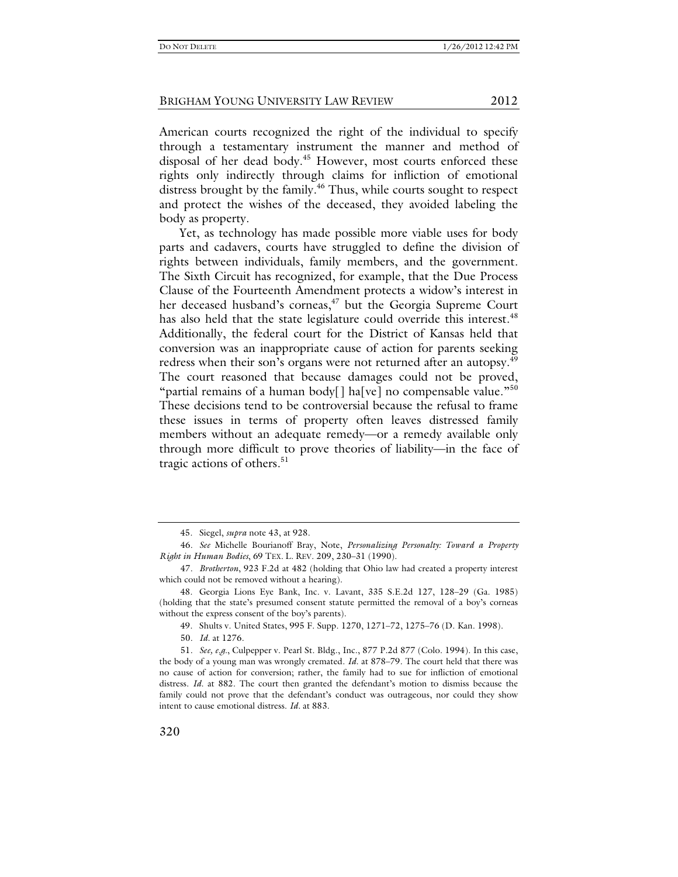American courts recognized the right of the individual to specify through a testamentary instrument the manner and method of disposal of her dead body.<sup>45</sup> However, most courts enforced these rights only indirectly through claims for infliction of emotional distress brought by the family.<sup>46</sup> Thus, while courts sought to respect and protect the wishes of the deceased, they avoided labeling the body as property.

Yet, as technology has made possible more viable uses for body parts and cadavers, courts have struggled to define the division of rights between individuals, family members, and the government. The Sixth Circuit has recognized, for example, that the Due Process Clause of the Fourteenth Amendment protects a widow's interest in her deceased husband's corneas,<sup>47</sup> but the Georgia Supreme Court has also held that the state legislature could override this interest.<sup>48</sup> Additionally, the federal court for the District of Kansas held that conversion was an inappropriate cause of action for parents seeking redress when their son's organs were not returned after an autopsy.<sup>49</sup> The court reasoned that because damages could not be proved, "partial remains of a human body[] ha[ve] no compensable value."<sup>50</sup> These decisions tend to be controversial because the refusal to frame these issues in terms of property often leaves distressed family members without an adequate remedy—or a remedy available only through more difficult to prove theories of liability—in the face of tragic actions of others.<sup>51</sup>

 <sup>45.</sup> Siegel, *supra* note 43, at 928.

<sup>46</sup>*. See* Michelle Bourianoff Bray, Note, *Personalizing Personalty: Toward a Property Right in Human Bodies*, 69 TEX. L. REV. 209, 230–31 (1990).

<sup>47</sup>*. Brotherton*, 923 F.2d at 482 (holding that Ohio law had created a property interest which could not be removed without a hearing).

 <sup>48.</sup> Georgia Lions Eye Bank, Inc. v. Lavant, 335 S.E.2d 127, 128–29 (Ga. 1985) (holding that the state's presumed consent statute permitted the removal of a boy's corneas without the express consent of the boy's parents).

 <sup>49.</sup> Shults v. United States, 995 F. Supp. 1270, 1271–72, 1275–76 (D. Kan. 1998).

<sup>50</sup>*. Id.* at 1276.

<sup>51</sup>*. See, e.g.*, Culpepper v. Pearl St. Bldg., Inc., 877 P.2d 877 (Colo. 1994). In this case, the body of a young man was wrongly cremated. *Id.* at 878–79. The court held that there was no cause of action for conversion; rather, the family had to sue for infliction of emotional distress. *Id.* at 882. The court then granted the defendant's motion to dismiss because the family could not prove that the defendant's conduct was outrageous, nor could they show intent to cause emotional distress. *Id.* at 883.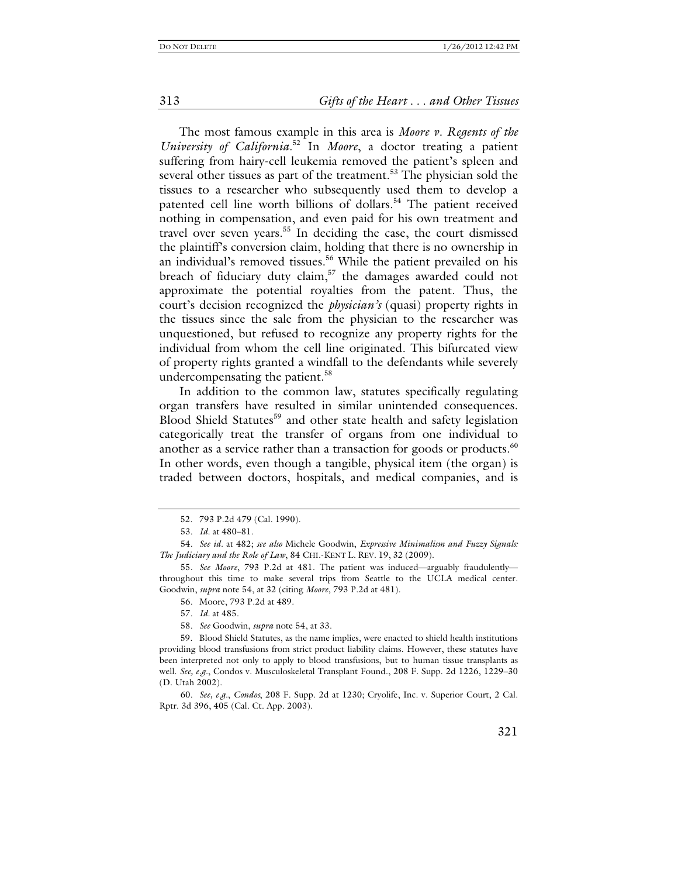313 *Gifts of the Heart . . . and Other Tissues*

The most famous example in this area is *Moore v. Regents of the University of California*. 52 In *Moore*, a doctor treating a patient suffering from hairy-cell leukemia removed the patient's spleen and several other tissues as part of the treatment.<sup>53</sup> The physician sold the tissues to a researcher who subsequently used them to develop a patented cell line worth billions of dollars.<sup>54</sup> The patient received nothing in compensation, and even paid for his own treatment and travel over seven years.<sup>55</sup> In deciding the case, the court dismissed the plaintiff's conversion claim, holding that there is no ownership in an individual's removed tissues.<sup>56</sup> While the patient prevailed on his breach of fiduciary duty claim,<sup>57</sup> the damages awarded could not approximate the potential royalties from the patent. Thus, the court's decision recognized the *physician's* (quasi) property rights in the tissues since the sale from the physician to the researcher was unquestioned, but refused to recognize any property rights for the individual from whom the cell line originated. This bifurcated view of property rights granted a windfall to the defendants while severely undercompensating the patient.<sup>58</sup>

In addition to the common law, statutes specifically regulating organ transfers have resulted in similar unintended consequences. Blood Shield Statutes<sup>59</sup> and other state health and safety legislation categorically treat the transfer of organs from one individual to another as a service rather than a transaction for goods or products.<sup>60</sup> In other words, even though a tangible, physical item (the organ) is traded between doctors, hospitals, and medical companies, and is

 <sup>52. 793</sup> P.2d 479 (Cal. 1990).

<sup>53</sup>*. Id.* at 480–81.

<sup>54</sup>*. See id.* at 482; *see also* Michele Goodwin, *Expressive Minimalism and Fuzzy Signals: The Judiciary and the Role of Law*, 84 CHI.-KENT L. REV. 19, 32 (2009).

<sup>55</sup>*. See Moore*, 793 P.2d at 481. The patient was induced—arguably fraudulently throughout this time to make several trips from Seattle to the UCLA medical center. Goodwin, *supra* note 54, at 32 (citing *Moore*, 793 P.2d at 481).

<sup>56</sup>*.* Moore, 793 P.2d at 489.

<sup>57</sup>*. Id.* at 485.

<sup>58</sup>*. See* Goodwin, *supra* note 54, at 33.

 <sup>59.</sup> Blood Shield Statutes, as the name implies, were enacted to shield health institutions providing blood transfusions from strict product liability claims. However, these statutes have been interpreted not only to apply to blood transfusions, but to human tissue transplants as well. *See, e.g.*, Condos v. Musculoskeletal Transplant Found., 208 F. Supp. 2d 1226, 1229–30 (D. Utah 2002).

<sup>60</sup>*. See, e.g.*, *Condos*, 208 F. Supp. 2d at 1230; Cryolife, Inc. v. Superior Court, 2 Cal. Rptr. 3d 396, 405 (Cal. Ct. App. 2003).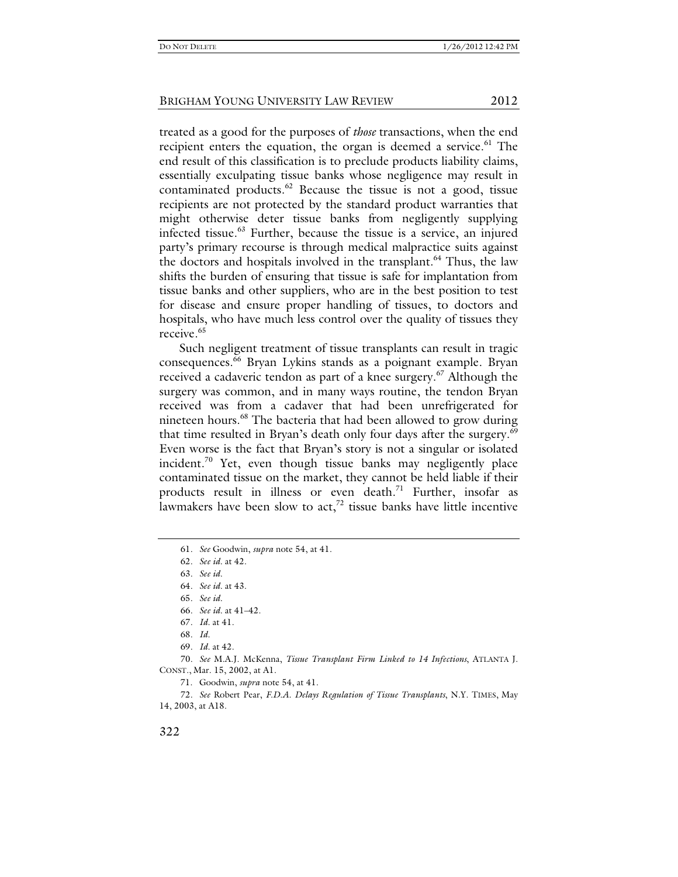treated as a good for the purposes of *those* transactions, when the end recipient enters the equation, the organ is deemed a service.<sup>61</sup> The end result of this classification is to preclude products liability claims, essentially exculpating tissue banks whose negligence may result in contaminated products. $62$  Because the tissue is not a good, tissue recipients are not protected by the standard product warranties that might otherwise deter tissue banks from negligently supplying infected tissue.63 Further, because the tissue is a service, an injured party's primary recourse is through medical malpractice suits against the doctors and hospitals involved in the transplant.<sup>64</sup> Thus, the law shifts the burden of ensuring that tissue is safe for implantation from tissue banks and other suppliers, who are in the best position to test for disease and ensure proper handling of tissues, to doctors and hospitals, who have much less control over the quality of tissues they receive.<sup>65</sup>

Such negligent treatment of tissue transplants can result in tragic consequences.66 Bryan Lykins stands as a poignant example. Bryan received a cadaveric tendon as part of a knee surgery.<sup>67</sup> Although the surgery was common, and in many ways routine, the tendon Bryan received was from a cadaver that had been unrefrigerated for nineteen hours.<sup>68</sup> The bacteria that had been allowed to grow during that time resulted in Bryan's death only four days after the surgery.<sup>69</sup> Even worse is the fact that Bryan's story is not a singular or isolated incident.<sup>70</sup> Yet, even though tissue banks may negligently place contaminated tissue on the market, they cannot be held liable if their products result in illness or even death.<sup>71</sup> Further, insofar as lawmakers have been slow to  $act<sub>1</sub><sup>72</sup>$  tissue banks have little incentive

70*. See* M.A.J. McKenna, *Tissue Transplant Firm Linked to 14 Infections*, ATLANTA J. CONST., Mar. 15, 2002, at A1.

71. Goodwin, *supra* note 54, at 41.

72*. See* Robert Pear, *F.D.A. Delays Regulation of Tissue Transplants*, N.Y. TIMES, May 14, 2003, at A18.

<sup>61</sup>*. See* Goodwin, *supra* note 54, at 41.

<sup>62</sup>*. See id.* at 42.

<sup>63</sup>*. See id.*

<sup>64</sup>*. See id.* at 43.

<sup>65</sup>*. See id.*

<sup>66</sup>*. See id.* at 41–42.

<sup>67</sup>*. Id.* at 41.

<sup>68</sup>*. Id.*

<sup>69</sup>*. Id.* at 42.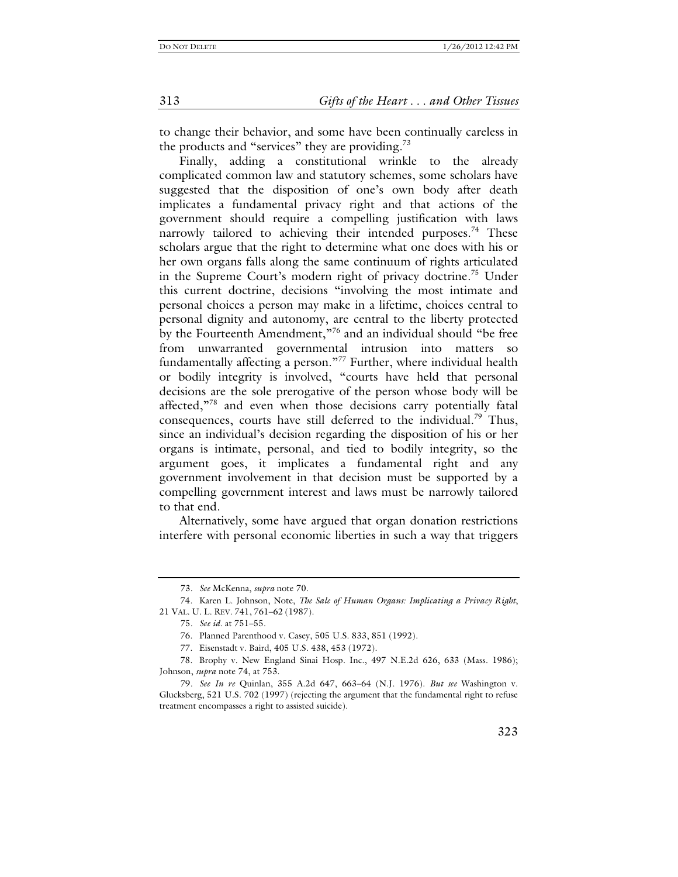to change their behavior, and some have been continually careless in the products and "services" they are providing.<sup>73</sup>

Finally, adding a constitutional wrinkle to the already complicated common law and statutory schemes, some scholars have suggested that the disposition of one's own body after death implicates a fundamental privacy right and that actions of the government should require a compelling justification with laws narrowly tailored to achieving their intended purposes.<sup>74</sup> These scholars argue that the right to determine what one does with his or her own organs falls along the same continuum of rights articulated in the Supreme Court's modern right of privacy doctrine.<sup>75</sup> Under this current doctrine, decisions "involving the most intimate and personal choices a person may make in a lifetime, choices central to personal dignity and autonomy, are central to the liberty protected by the Fourteenth Amendment,"<sup>76</sup> and an individual should "be free from unwarranted governmental intrusion into matters so fundamentally affecting a person."<sup>77</sup> Further, where individual health or bodily integrity is involved, "courts have held that personal decisions are the sole prerogative of the person whose body will be affected,"78 and even when those decisions carry potentially fatal consequences, courts have still deferred to the individual.<sup>79</sup> Thus, since an individual's decision regarding the disposition of his or her organs is intimate, personal, and tied to bodily integrity, so the argument goes, it implicates a fundamental right and any government involvement in that decision must be supported by a compelling government interest and laws must be narrowly tailored to that end.

Alternatively, some have argued that organ donation restrictions interfere with personal economic liberties in such a way that triggers

<sup>73</sup>*. See* McKenna, *supra* note 70.

 <sup>74.</sup> Karen L. Johnson, Note, *The Sale of Human Organs: Implicating a Privacy Right*, 21 VAL. U. L. REV. 741, 761–62 (1987).

<sup>75</sup>*. See id.* at 751–55.

 <sup>76.</sup> Planned Parenthood v. Casey, 505 U.S. 833, 851 (1992).

 <sup>77.</sup> Eisenstadt v. Baird, 405 U.S. 438, 453 (1972).

 <sup>78.</sup> Brophy v. New England Sinai Hosp. Inc., 497 N.E.2d 626, 633 (Mass. 1986); Johnson, *supra* note 74, at 753.

<sup>79</sup>*. See In re* Quinlan, 355 A.2d 647, 663–64 (N.J. 1976). *But see* Washington v. Glucksberg, 521 U.S. 702 (1997) (rejecting the argument that the fundamental right to refuse treatment encompasses a right to assisted suicide).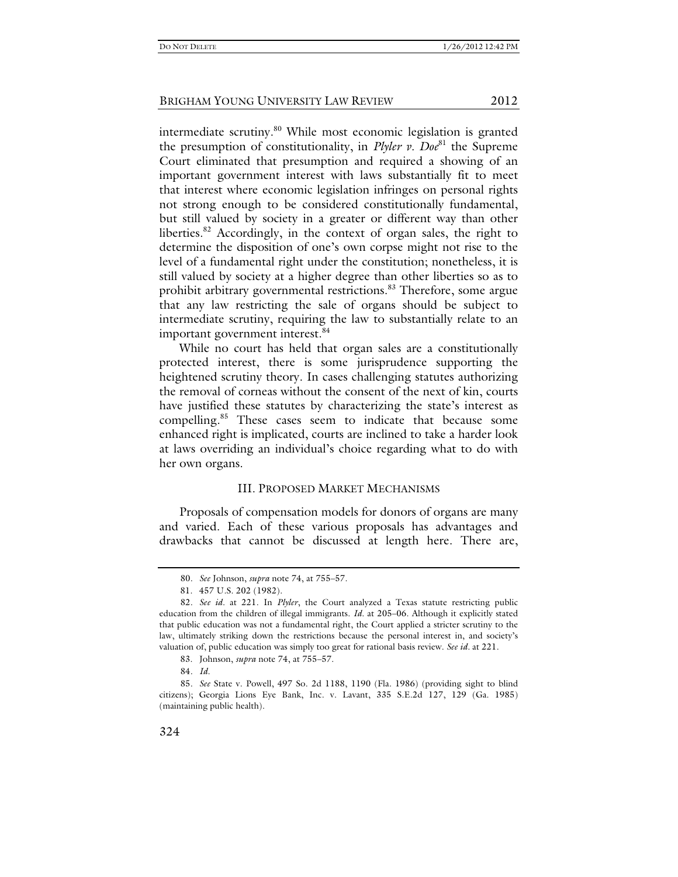intermediate scrutiny.<sup>80</sup> While most economic legislation is granted the presumption of constitutionality, in *Plyler v. Doe*81 the Supreme Court eliminated that presumption and required a showing of an important government interest with laws substantially fit to meet that interest where economic legislation infringes on personal rights not strong enough to be considered constitutionally fundamental, but still valued by society in a greater or different way than other liberties.<sup>82</sup> Accordingly, in the context of organ sales, the right to determine the disposition of one's own corpse might not rise to the level of a fundamental right under the constitution; nonetheless, it is still valued by society at a higher degree than other liberties so as to prohibit arbitrary governmental restrictions.<sup>83</sup> Therefore, some argue that any law restricting the sale of organs should be subject to intermediate scrutiny, requiring the law to substantially relate to an important government interest.<sup>84</sup>

While no court has held that organ sales are a constitutionally protected interest, there is some jurisprudence supporting the heightened scrutiny theory. In cases challenging statutes authorizing the removal of corneas without the consent of the next of kin, courts have justified these statutes by characterizing the state's interest as compelling.85 These cases seem to indicate that because some enhanced right is implicated, courts are inclined to take a harder look at laws overriding an individual's choice regarding what to do with her own organs.

#### III. PROPOSED MARKET MECHANISMS

Proposals of compensation models for donors of organs are many and varied. Each of these various proposals has advantages and drawbacks that cannot be discussed at length here. There are,

<sup>80</sup>*. See* Johnson, *supra* note 74, at 755–57.

 <sup>81. 457</sup> U.S. 202 (1982).

<sup>82</sup>*. See id.* at 221. In *Plyler*, the Court analyzed a Texas statute restricting public education from the children of illegal immigrants. *Id.* at 205–06. Although it explicitly stated that public education was not a fundamental right, the Court applied a stricter scrutiny to the law, ultimately striking down the restrictions because the personal interest in, and society's valuation of, public education was simply too great for rational basis review. *See id.* at 221.

 <sup>83.</sup> Johnson, *supra* note 74, at 755–57.

<sup>84</sup>*. Id.*

<sup>85</sup>*. See* State v. Powell, 497 So. 2d 1188, 1190 (Fla. 1986) (providing sight to blind citizens); Georgia Lions Eye Bank, Inc. v. Lavant, 335 S.E.2d 127, 129 (Ga. 1985) (maintaining public health).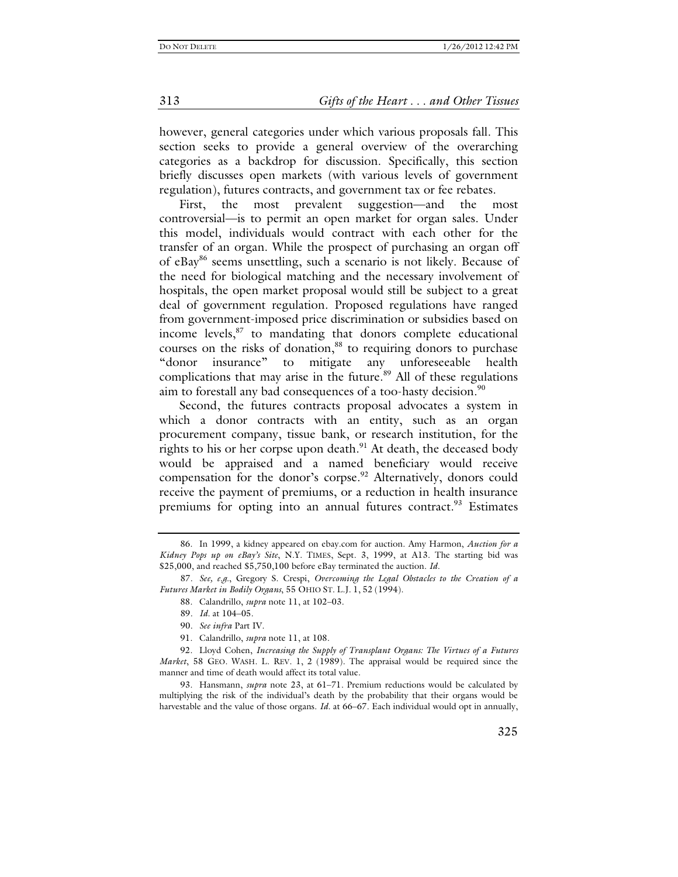however, general categories under which various proposals fall. This section seeks to provide a general overview of the overarching categories as a backdrop for discussion. Specifically, this section briefly discusses open markets (with various levels of government regulation), futures contracts, and government tax or fee rebates.

First, the most prevalent suggestion—and the most controversial—is to permit an open market for organ sales. Under this model, individuals would contract with each other for the transfer of an organ. While the prospect of purchasing an organ off of eBay86 seems unsettling, such a scenario is not likely. Because of the need for biological matching and the necessary involvement of hospitals, the open market proposal would still be subject to a great deal of government regulation. Proposed regulations have ranged from government-imposed price discrimination or subsidies based on income levels, $87$  to mandating that donors complete educational courses on the risks of donation, $88$  to requiring donors to purchase "donor insurance" to mitigate any unforeseeable health complications that may arise in the future. $89$  All of these regulations aim to forestall any bad consequences of a too-hasty decision.<sup>90</sup>

Second, the futures contracts proposal advocates a system in which a donor contracts with an entity, such as an organ procurement company, tissue bank, or research institution, for the rights to his or her corpse upon death. $91$  At death, the deceased body would be appraised and a named beneficiary would receive compensation for the donor's corpse.<sup>92</sup> Alternatively, donors could receive the payment of premiums, or a reduction in health insurance premiums for opting into an annual futures contract.<sup>93</sup> Estimates

 93. Hansmann, *supra* note 23, at 61–71. Premium reductions would be calculated by multiplying the risk of the individual's death by the probability that their organs would be harvestable and the value of those organs. *Id.* at 66–67. Each individual would opt in annually,

 <sup>86.</sup> In 1999, a kidney appeared on ebay.com for auction. Amy Harmon, *Auction for a Kidney Pops up on eBay's Site*, N.Y. TIMES, Sept. 3, 1999, at A13. The starting bid was \$25,000, and reached \$5,750,100 before eBay terminated the auction. *Id.*

<sup>87</sup>*. See, e.g.*, Gregory S. Crespi, *Overcoming the Legal Obstacles to the Creation of a Futures Market in Bodily Organs*, 55 OHIO ST. L.J. 1, 52 (1994).

 <sup>88.</sup> Calandrillo, *supra* note 11, at 102–03.

<sup>89</sup>*. Id.* at 104–05.

<sup>90</sup>*. See infra* Part IV.

 <sup>91.</sup> Calandrillo, *supra* note 11, at 108.

 <sup>92.</sup> Lloyd Cohen, *Increasing the Supply of Transplant Organs: The Virtues of a Futures Market*, 58 GEO. WASH. L. REV. 1, 2 (1989). The appraisal would be required since the manner and time of death would affect its total value.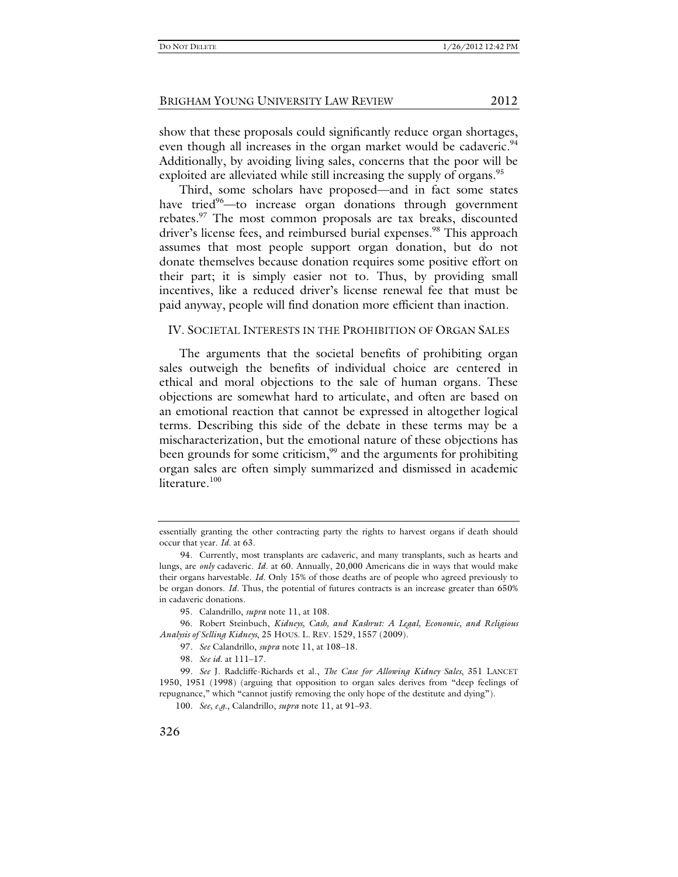show that these proposals could significantly reduce organ shortages, even though all increases in the organ market would be cadaveric.<sup>94</sup> Additionally, by avoiding living sales, concerns that the poor will be exploited are alleviated while still increasing the supply of organs.<sup>95</sup>

Third, some scholars have proposed—and in fact some states have tried<sup>96</sup>—to increase organ donations through government rebates.97 The most common proposals are tax breaks, discounted driver's license fees, and reimbursed burial expenses.<sup>98</sup> This approach assumes that most people support organ donation, but do not donate themselves because donation requires some positive effort on their part; it is simply easier not to. Thus, by providing small incentives, like a reduced driver's license renewal fee that must be paid anyway, people will find donation more efficient than inaction.

#### IV. SOCIETAL INTERESTS IN THE PROHIBITION OF ORGAN SALES

The arguments that the societal benefits of prohibiting organ sales outweigh the benefits of individual choice are centered in ethical and moral objections to the sale of human organs. These objections are somewhat hard to articulate, and often are based on an emotional reaction that cannot be expressed in altogether logical terms. Describing this side of the debate in these terms may be a mischaracterization, but the emotional nature of these objections has been grounds for some criticism,<sup>99</sup> and the arguments for prohibiting organ sales are often simply summarized and dismissed in academic literature.<sup>100</sup>

essentially granting the other contracting party the rights to harvest organs if death should occur that year. *Id.* at 63.

 <sup>94.</sup> Currently, most transplants are cadaveric, and many transplants, such as hearts and lungs, are *only* cadaveric. *Id.* at 60. Annually, 20,000 Americans die in ways that would make their organs harvestable. *Id.* Only 15% of those deaths are of people who agreed previously to be organ donors. *Id.* Thus, the potential of futures contracts is an increase greater than 650% in cadaveric donations.

 <sup>95.</sup> Calandrillo, *supra* note 11, at 108.

 <sup>96.</sup> Robert Steinbuch, *Kidneys, Cash, and Kashrut: A Legal, Economic, and Religious Analysis of Selling Kidneys*, 25 HOUS. L. REV. 1529, 1557 (2009).

<sup>97</sup>*. See* Calandrillo, *supra* note 11, at 108–18.

<sup>98</sup>*. See id.* at 111–17.

<sup>99</sup>*. See* J. Radcliffe-Richards et al., *The Case for Allowing Kidney Sales*, 351 LANCET 1950, 1951 (1998) (arguing that opposition to organ sales derives from "deep feelings of repugnance," which "cannot justify removing the only hope of the destitute and dying").

<sup>100</sup>*. See, e.g.*, Calandrillo, *supra* note 11, at 91–93.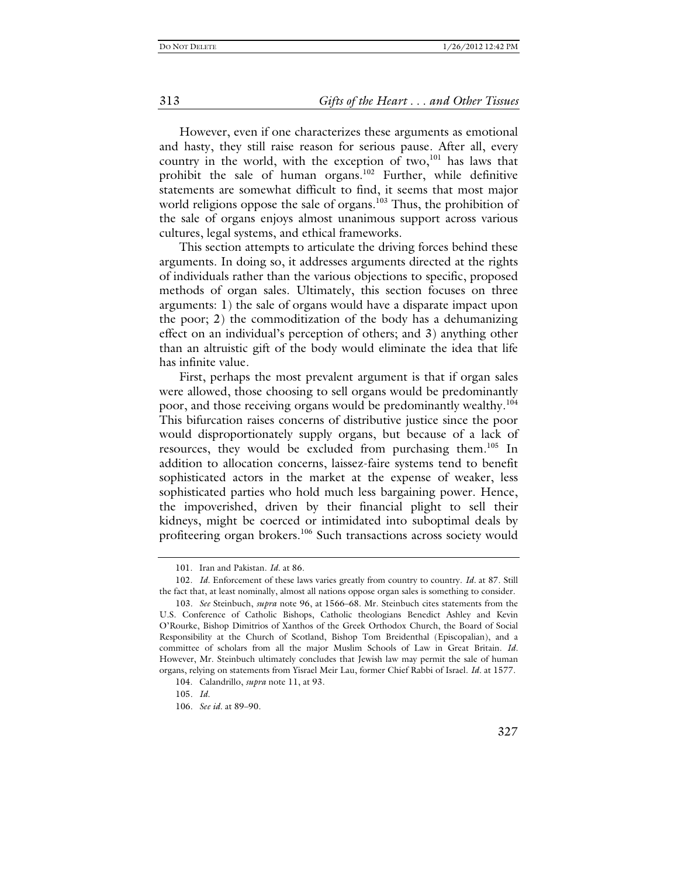#### 313 *Gifts of the Heart . . . and Other Tissues*

However, even if one characterizes these arguments as emotional and hasty, they still raise reason for serious pause. After all, every country in the world, with the exception of two,<sup>101</sup> has laws that prohibit the sale of human organs.102 Further, while definitive statements are somewhat difficult to find, it seems that most major world religions oppose the sale of organs.<sup>103</sup> Thus, the prohibition of the sale of organs enjoys almost unanimous support across various cultures, legal systems, and ethical frameworks.

This section attempts to articulate the driving forces behind these arguments. In doing so, it addresses arguments directed at the rights of individuals rather than the various objections to specific, proposed methods of organ sales. Ultimately, this section focuses on three arguments: 1) the sale of organs would have a disparate impact upon the poor; 2) the commoditization of the body has a dehumanizing effect on an individual's perception of others; and 3) anything other than an altruistic gift of the body would eliminate the idea that life has infinite value.

First, perhaps the most prevalent argument is that if organ sales were allowed, those choosing to sell organs would be predominantly poor, and those receiving organs would be predominantly wealthy.<sup>104</sup> This bifurcation raises concerns of distributive justice since the poor would disproportionately supply organs, but because of a lack of resources, they would be excluded from purchasing them.<sup>105</sup> In addition to allocation concerns, laissez-faire systems tend to benefit sophisticated actors in the market at the expense of weaker, less sophisticated parties who hold much less bargaining power. Hence, the impoverished, driven by their financial plight to sell their kidneys, might be coerced or intimidated into suboptimal deals by profiteering organ brokers.<sup>106</sup> Such transactions across society would

 <sup>101.</sup> Iran and Pakistan. *Id.* at 86.

 <sup>102.</sup> *Id.* Enforcement of these laws varies greatly from country to country. *Id.* at 87. Still the fact that, at least nominally, almost all nations oppose organ sales is something to consider.

<sup>103</sup>*. See* Steinbuch, *supra* note 96, at 1566–68. Mr. Steinbuch cites statements from the U.S. Conference of Catholic Bishops, Catholic theologians Benedict Ashley and Kevin O'Rourke, Bishop Dimitrios of Xanthos of the Greek Orthodox Church, the Board of Social Responsibility at the Church of Scotland, Bishop Tom Breidenthal (Episcopalian), and a committee of scholars from all the major Muslim Schools of Law in Great Britain. *Id.* However, Mr. Steinbuch ultimately concludes that Jewish law may permit the sale of human organs, relying on statements from Yisrael Meir Lau, former Chief Rabbi of Israel. *Id.* at 1577.

 <sup>104.</sup> Calandrillo, *supra* note 11, at 93.

<sup>105</sup>*. Id.*

<sup>106</sup>*. See id.* at 89–90.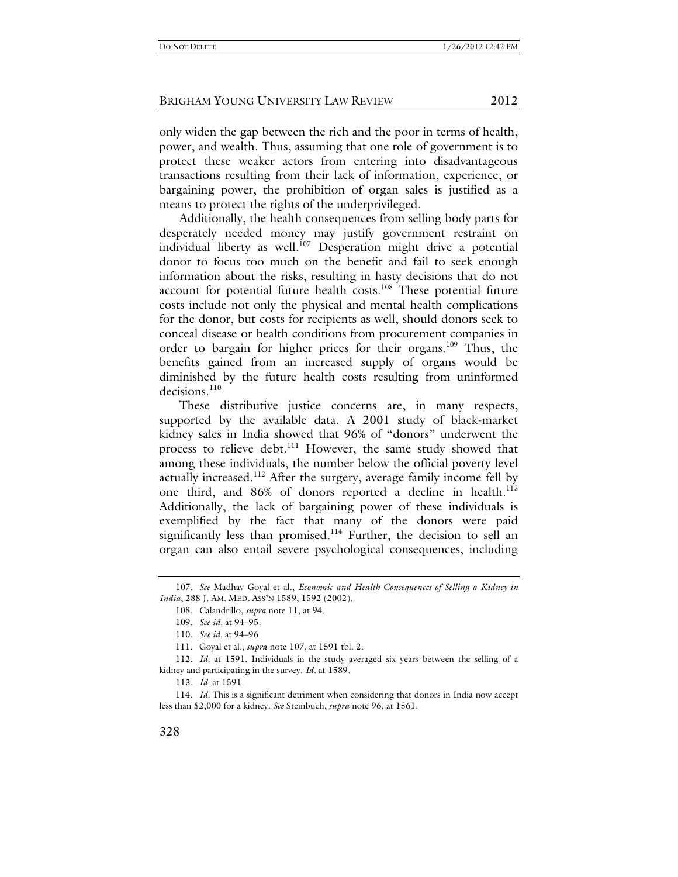only widen the gap between the rich and the poor in terms of health, power, and wealth. Thus, assuming that one role of government is to protect these weaker actors from entering into disadvantageous transactions resulting from their lack of information, experience, or bargaining power, the prohibition of organ sales is justified as a means to protect the rights of the underprivileged.

Additionally, the health consequences from selling body parts for desperately needed money may justify government restraint on individual liberty as well.<sup>107</sup> Desperation might drive a potential donor to focus too much on the benefit and fail to seek enough information about the risks, resulting in hasty decisions that do not account for potential future health costs.<sup>108</sup> These potential future costs include not only the physical and mental health complications for the donor, but costs for recipients as well, should donors seek to conceal disease or health conditions from procurement companies in order to bargain for higher prices for their organs.109 Thus, the benefits gained from an increased supply of organs would be diminished by the future health costs resulting from uninformed decisions.<sup>110</sup>

These distributive justice concerns are, in many respects, supported by the available data. A 2001 study of black-market kidney sales in India showed that 96% of "donors" underwent the process to relieve debt.<sup>111</sup> However, the same study showed that among these individuals, the number below the official poverty level actually increased.<sup>112</sup> After the surgery, average family income fell by one third, and 86% of donors reported a decline in health.<sup>113</sup> Additionally, the lack of bargaining power of these individuals is exemplified by the fact that many of the donors were paid significantly less than promised.<sup>114</sup> Further, the decision to sell an organ can also entail severe psychological consequences, including

<sup>107</sup>*. See* Madhav Goyal et al., *Economic and Health Consequences of Selling a Kidney in India*, 288 J. AM. MED. ASS'N 1589, 1592 (2002).

 <sup>108.</sup> Calandrillo, *supra* note 11, at 94.

<sup>109</sup>*. See id.* at 94–95.

<sup>110</sup>*. See id.* at 94–96.

 <sup>111.</sup> Goyal et al., *supra* note 107, at 1591 tbl. 2.

<sup>112</sup>*. Id.* at 1591. Individuals in the study averaged six years between the selling of a kidney and participating in the survey. *Id.* at 1589.

<sup>113</sup>*. Id.* at 1591.

 <sup>114.</sup> *Id.* This is a significant detriment when considering that donors in India now accept less than \$2,000 for a kidney. *See* Steinbuch, *supra* note 96, at 1561.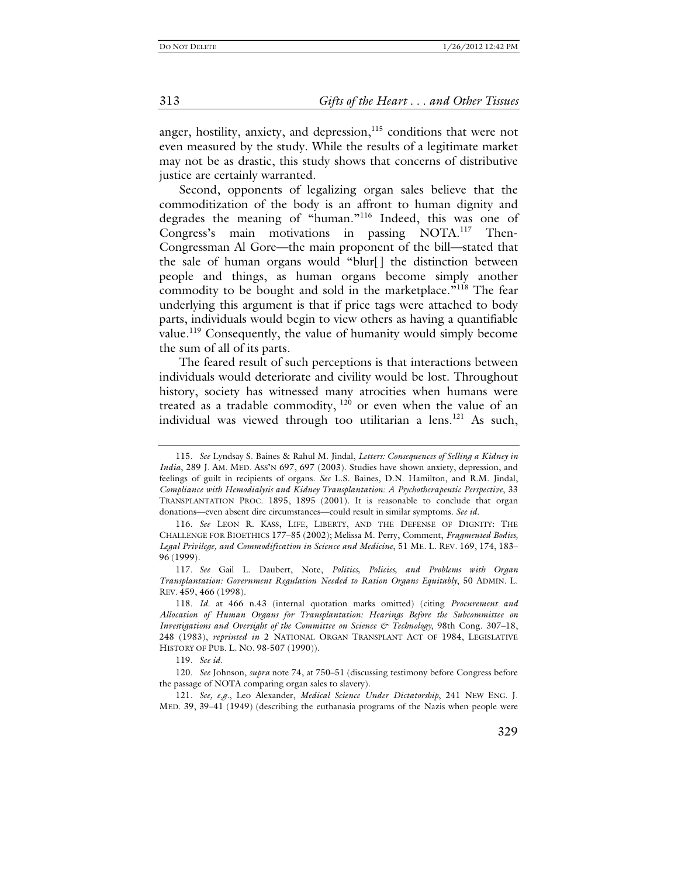anger, hostility, anxiety, and depression,  $115$  conditions that were not even measured by the study. While the results of a legitimate market may not be as drastic, this study shows that concerns of distributive justice are certainly warranted.

Second, opponents of legalizing organ sales believe that the commoditization of the body is an affront to human dignity and degrades the meaning of "human."116 Indeed, this was one of Congress's main motivations in passing NOTA.117 Then-Congressman Al Gore—the main proponent of the bill—stated that the sale of human organs would "blur[] the distinction between people and things, as human organs become simply another commodity to be bought and sold in the marketplace."<sup>118</sup> The fear underlying this argument is that if price tags were attached to body parts, individuals would begin to view others as having a quantifiable value.<sup>119</sup> Consequently, the value of humanity would simply become the sum of all of its parts.

The feared result of such perceptions is that interactions between individuals would deteriorate and civility would be lost. Throughout history, society has witnessed many atrocities when humans were treated as a tradable commodity,  $120$  or even when the value of an individual was viewed through too utilitarian a lens.121 As such,

<sup>115</sup>*. See* Lyndsay S. Baines & Rahul M. Jindal, *Letters: Consequences of Selling a Kidney in India*, 289 J. AM. MED. ASS'N 697, 697 (2003). Studies have shown anxiety, depression, and feelings of guilt in recipients of organs. *See* L.S. Baines, D.N. Hamilton, and R.M. Jindal, *Compliance with Hemodialysis and Kidney Transplantation: A Psychotherapeutic Perspective*, 33 TRANSPLANTATION PROC. 1895, 1895 (2001). It is reasonable to conclude that organ donations—even absent dire circumstances—could result in similar symptoms. *See id.*

<sup>116</sup>*. See* LEON R. KASS, LIFE, LIBERTY, AND THE DEFENSE OF DIGNITY: THE CHALLENGE FOR BIOETHICS 177–85 (2002); Melissa M. Perry, Comment, *Fragmented Bodies, Legal Privilege, and Commodification in Science and Medicine*, 51 ME. L. REV. 169, 174, 183– 96 (1999).

<sup>117</sup>*. See* Gail L. Daubert, Note, *Politics, Policies, and Problems with Organ Transplantation: Government Regulation Needed to Ration Organs Equitably*, 50 ADMIN. L. REV. 459, 466 (1998).

<sup>118</sup>*. Id.* at 466 n.43 (internal quotation marks omitted) (citing *Procurement and Allocation of Human Organs for Transplantation: Hearings Before the Subcommittee on Investigations and Oversight of the Committee on Science & Technology*, 98th Cong. 307–18, 248 (1983), *reprinted in* 2 NATIONAL ORGAN TRANSPLANT ACT OF 1984, LEGISLATIVE HISTORY OF PUB. L. NO. 98-507 (1990)).

<sup>119</sup>*. See id.*

<sup>120</sup>*. See* Johnson, *supra* note 74, at 750–51 (discussing testimony before Congress before the passage of NOTA comparing organ sales to slavery).

<sup>121</sup>*. See, e.g.*, Leo Alexander, *Medical Science Under Dictatorship*, 241 NEW ENG. J. MED. 39, 39–41 (1949) (describing the euthanasia programs of the Nazis when people were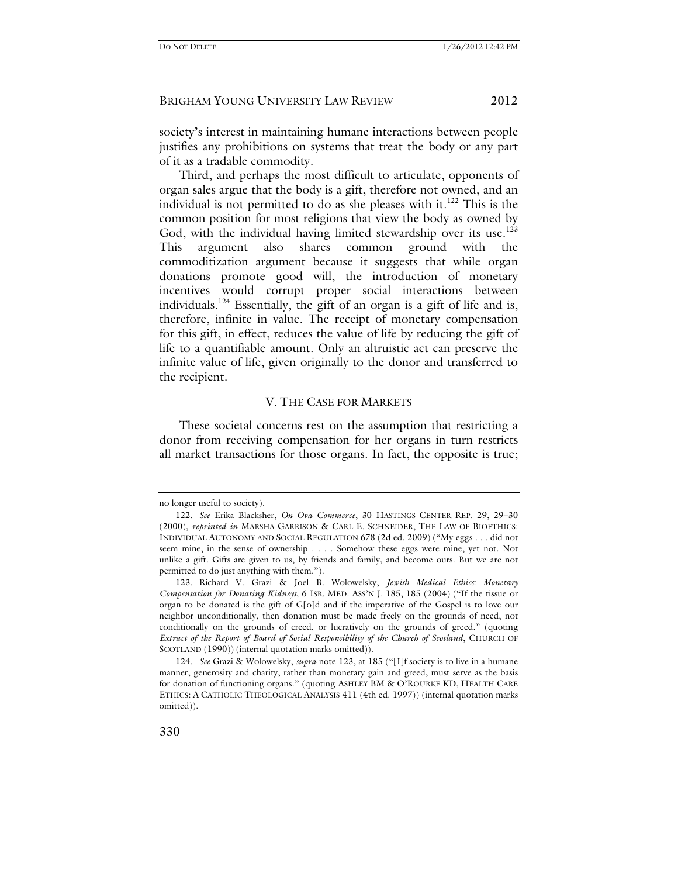society's interest in maintaining humane interactions between people justifies any prohibitions on systems that treat the body or any part of it as a tradable commodity.

Third, and perhaps the most difficult to articulate, opponents of organ sales argue that the body is a gift, therefore not owned, and an individual is not permitted to do as she pleases with it.<sup>122</sup> This is the common position for most religions that view the body as owned by God, with the individual having limited stewardship over its use.<sup>123</sup> This argument also shares common ground with commoditization argument because it suggests that while organ donations promote good will, the introduction of monetary incentives would corrupt proper social interactions between individuals.124 Essentially, the gift of an organ is a gift of life and is, therefore, infinite in value. The receipt of monetary compensation for this gift, in effect, reduces the value of life by reducing the gift of life to a quantifiable amount. Only an altruistic act can preserve the infinite value of life, given originally to the donor and transferred to the recipient.

#### V. THE CASE FOR MARKETS

These societal concerns rest on the assumption that restricting a donor from receiving compensation for her organs in turn restricts all market transactions for those organs. In fact, the opposite is true;

no longer useful to society).

<sup>122</sup>*. See* Erika Blacksher, *On Ova Commerce*, 30 HASTINGS CENTER REP. 29, 29–30 (2000), *reprinted in* MARSHA GARRISON & CARL E. SCHNEIDER, THE LAW OF BIOETHICS: INDIVIDUAL AUTONOMY AND SOCIAL REGULATION 678 (2d ed. 2009) ("My eggs . . . did not seem mine, in the sense of ownership . . . . Somehow these eggs were mine, yet not. Not unlike a gift. Gifts are given to us, by friends and family, and become ours. But we are not permitted to do just anything with them.").

<sup>123</sup>*.* Richard V. Grazi & Joel B. Wolowelsky, *Jewish Medical Ethics: Monetary Compensation for Donating Kidneys*, 6 ISR. MED. ASS'N J. 185, 185 (2004) ("If the tissue or organ to be donated is the gift of G[o]d and if the imperative of the Gospel is to love our neighbor unconditionally, then donation must be made freely on the grounds of need, not conditionally on the grounds of creed, or lucratively on the grounds of greed." (quoting *Extract of the Report of Board of Social Responsibility of the Church of Scotland*, CHURCH OF SCOTLAND (1990)) (internal quotation marks omitted)).

<sup>124</sup>*. See* Grazi & Wolowelsky, *supra* note 123, at 185 ("[I]f society is to live in a humane manner, generosity and charity, rather than monetary gain and greed, must serve as the basis for donation of functioning organs." (quoting ASHLEY BM & O'ROURKE KD, HEALTH CARE ETHICS: A CATHOLIC THEOLOGICAL ANALYSIS 411 (4th ed. 1997)) (internal quotation marks omitted)).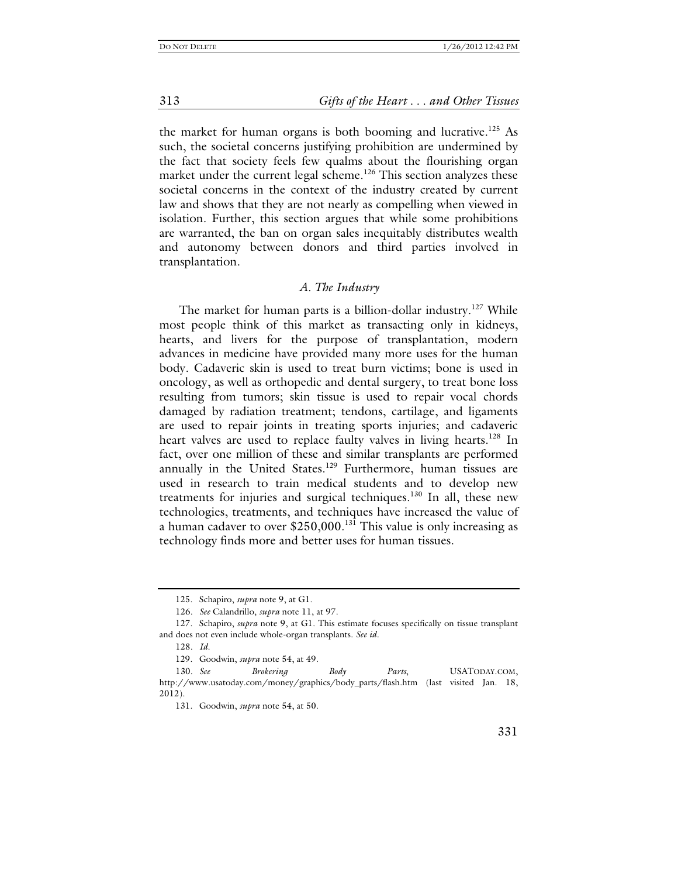313 *Gifts of the Heart . . . and Other Tissues*

the market for human organs is both booming and lucrative.<sup>125</sup> As such, the societal concerns justifying prohibition are undermined by the fact that society feels few qualms about the flourishing organ market under the current legal scheme.<sup>126</sup> This section analyzes these societal concerns in the context of the industry created by current law and shows that they are not nearly as compelling when viewed in isolation. Further, this section argues that while some prohibitions are warranted, the ban on organ sales inequitably distributes wealth and autonomy between donors and third parties involved in transplantation.

#### *A. The Industry*

The market for human parts is a billion-dollar industry.<sup>127</sup> While most people think of this market as transacting only in kidneys, hearts, and livers for the purpose of transplantation, modern advances in medicine have provided many more uses for the human body. Cadaveric skin is used to treat burn victims; bone is used in oncology, as well as orthopedic and dental surgery, to treat bone loss resulting from tumors; skin tissue is used to repair vocal chords damaged by radiation treatment; tendons, cartilage, and ligaments are used to repair joints in treating sports injuries; and cadaveric heart valves are used to replace faulty valves in living hearts.<sup>128</sup> In fact, over one million of these and similar transplants are performed annually in the United States.<sup>129</sup> Furthermore, human tissues are used in research to train medical students and to develop new treatments for injuries and surgical techniques.<sup>130</sup> In all, these new technologies, treatments, and techniques have increased the value of a human cadaver to over  $$250,000$ .<sup>131</sup> This value is only increasing as technology finds more and better uses for human tissues.

 <sup>125.</sup> Schapiro, *supra* note 9, at G1.

<sup>126</sup>*. See* Calandrillo, *supra* note 11, at 97.

 <sup>127.</sup> Schapiro, *supra* note 9, at G1. This estimate focuses specifically on tissue transplant and does not even include whole-organ transplants. *See id.*

<sup>128</sup>*. Id.*

 <sup>129.</sup> Goodwin, *supra* note 54, at 49.

<sup>130</sup>*. See Brokering Body Parts*, USATODAY.COM, http://www.usatoday.com/money/graphics/body\_parts/flash.htm (last visited Jan. 18, 2012).

 <sup>131.</sup> Goodwin, *supra* note 54, at 50.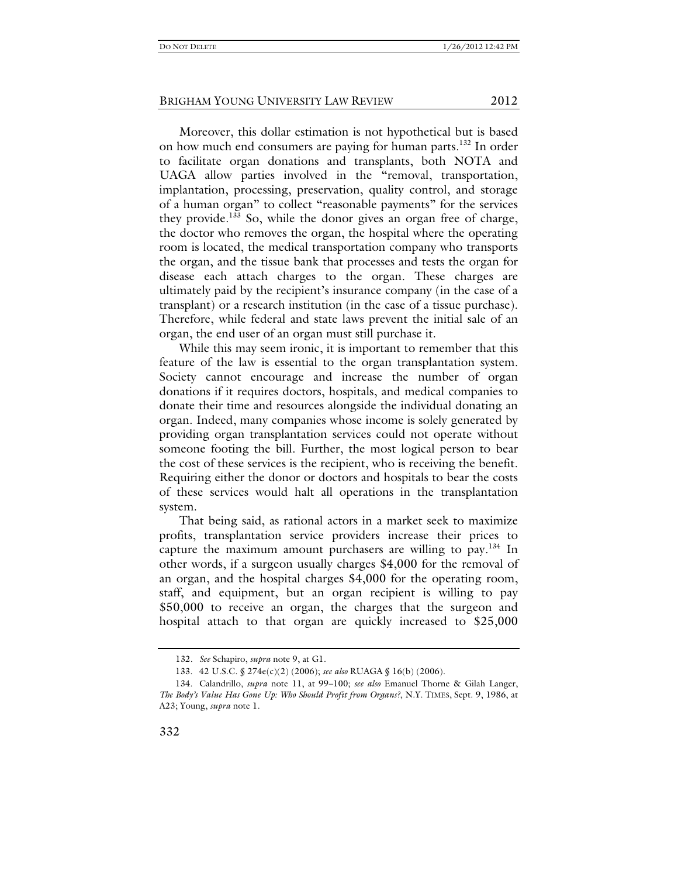Moreover, this dollar estimation is not hypothetical but is based on how much end consumers are paying for human parts.<sup>132</sup> In order to facilitate organ donations and transplants, both NOTA and UAGA allow parties involved in the "removal, transportation, implantation, processing, preservation, quality control, and storage of a human organ" to collect "reasonable payments" for the services they provide.<sup>133</sup> So, while the donor gives an organ free of charge, the doctor who removes the organ, the hospital where the operating room is located, the medical transportation company who transports the organ, and the tissue bank that processes and tests the organ for disease each attach charges to the organ. These charges are ultimately paid by the recipient's insurance company (in the case of a transplant) or a research institution (in the case of a tissue purchase). Therefore, while federal and state laws prevent the initial sale of an organ, the end user of an organ must still purchase it.

While this may seem ironic, it is important to remember that this feature of the law is essential to the organ transplantation system. Society cannot encourage and increase the number of organ donations if it requires doctors, hospitals, and medical companies to donate their time and resources alongside the individual donating an organ. Indeed, many companies whose income is solely generated by providing organ transplantation services could not operate without someone footing the bill. Further, the most logical person to bear the cost of these services is the recipient, who is receiving the benefit. Requiring either the donor or doctors and hospitals to bear the costs of these services would halt all operations in the transplantation system.

That being said, as rational actors in a market seek to maximize profits, transplantation service providers increase their prices to capture the maximum amount purchasers are willing to pay.<sup>134</sup> In other words, if a surgeon usually charges \$4,000 for the removal of an organ, and the hospital charges \$4,000 for the operating room, staff, and equipment, but an organ recipient is willing to pay \$50,000 to receive an organ, the charges that the surgeon and hospital attach to that organ are quickly increased to \$25,000

<sup>132</sup>*. See* Schapiro, *supra* note 9, at G1.

 <sup>133. 42</sup> U.S.C. § 274e(c)(2) (2006); *see also* RUAGA § 16(b) (2006).

 <sup>134.</sup> Calandrillo, *supra* note 11, at 99–100; *see also* Emanuel Thorne & Gilah Langer, *The Body's Value Has Gone Up: Who Should Profit from Organs?*, N.Y. TIMES, Sept. 9, 1986, at A23; Young, *supra* note 1.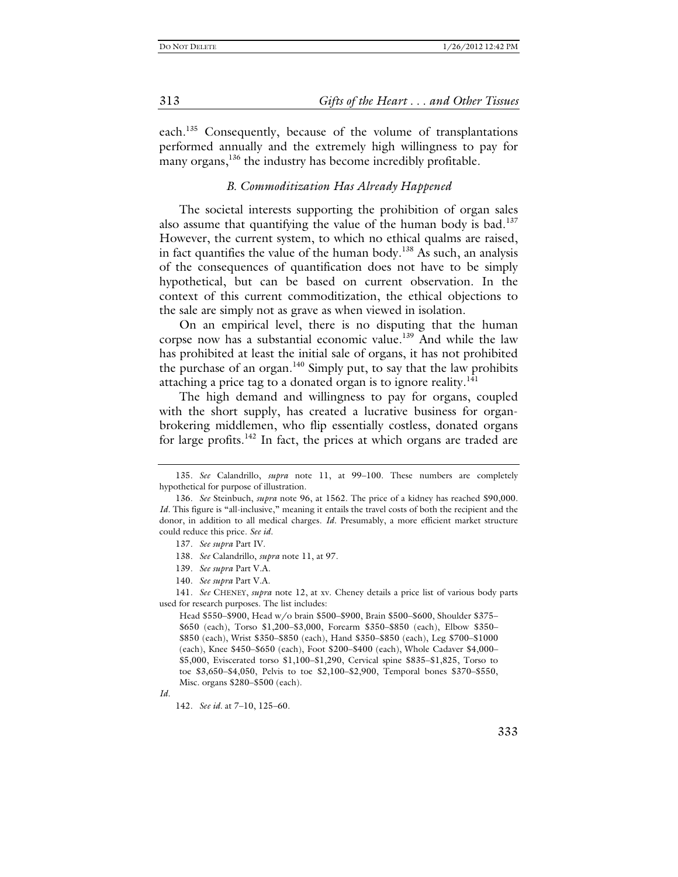each.135 Consequently, because of the volume of transplantations performed annually and the extremely high willingness to pay for many organs,<sup>136</sup> the industry has become incredibly profitable.

#### *B. Commoditization Has Already Happened*

The societal interests supporting the prohibition of organ sales also assume that quantifying the value of the human body is bad. $137$ However, the current system, to which no ethical qualms are raised, in fact quantifies the value of the human body.<sup>138</sup> As such, an analysis of the consequences of quantification does not have to be simply hypothetical, but can be based on current observation. In the context of this current commoditization, the ethical objections to the sale are simply not as grave as when viewed in isolation.

On an empirical level, there is no disputing that the human corpse now has a substantial economic value.<sup>139</sup> And while the law has prohibited at least the initial sale of organs, it has not prohibited the purchase of an organ.140 Simply put, to say that the law prohibits attaching a price tag to a donated organ is to ignore reality.<sup>141</sup>

The high demand and willingness to pay for organs, coupled with the short supply, has created a lucrative business for organbrokering middlemen, who flip essentially costless, donated organs for large profits.<sup>142</sup> In fact, the prices at which organs are traded are

<sup>135</sup>*. See* Calandrillo, *supra* note 11, at 99–100. These numbers are completely hypothetical for purpose of illustration.

<sup>136</sup>*. See* Steinbuch, *supra* note 96, at 1562. The price of a kidney has reached \$90,000. *Id.* This figure is "all-inclusive," meaning it entails the travel costs of both the recipient and the donor, in addition to all medical charges. *Id.* Presumably, a more efficient market structure could reduce this price. *See id.*

<sup>137</sup>*. See supra* Part IV.

<sup>138</sup>*. See* Calandrillo, *supra* note 11, at 97.

<sup>139</sup>*. See supra* Part V.A.

<sup>140</sup>*. See supra* Part V.A.

<sup>141</sup>*. See* CHENEY, *supra* note 12, at xv. Cheney details a price list of various body parts used for research purposes. The list includes:

Head \$550–\$900, Head w/o brain \$500–\$900, Brain \$500–\$600, Shoulder \$375– \$650 (each), Torso \$1,200–\$3,000, Forearm \$350–\$850 (each), Elbow \$350– \$850 (each), Wrist \$350–\$850 (each), Hand \$350–\$850 (each), Leg \$700–\$1000 (each), Knee \$450–\$650 (each), Foot \$200–\$400 (each), Whole Cadaver \$4,000– \$5,000, Eviscerated torso \$1,100–\$1,290, Cervical spine \$835–\$1,825, Torso to toe \$3,650–\$4,050, Pelvis to toe \$2,100–\$2,900, Temporal bones \$370–\$550, Misc. organs \$280–\$500 (each).

*Id.*

<sup>142</sup>*. See id.* at 7–10, 125–60.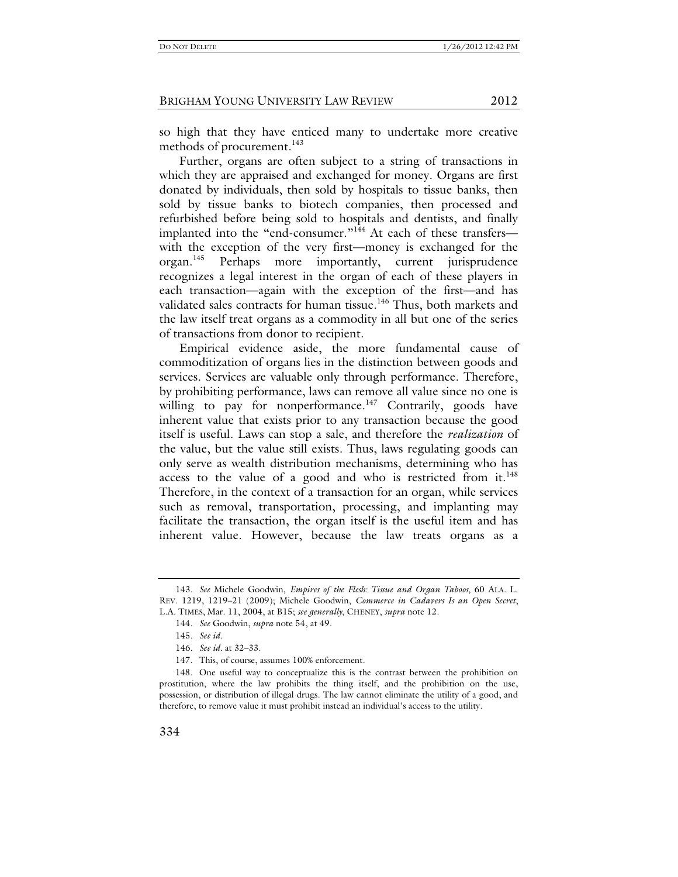so high that they have enticed many to undertake more creative methods of procurement.<sup>143</sup>

Further, organs are often subject to a string of transactions in which they are appraised and exchanged for money. Organs are first donated by individuals, then sold by hospitals to tissue banks, then sold by tissue banks to biotech companies, then processed and refurbished before being sold to hospitals and dentists, and finally implanted into the "end-consumer."<sup>144</sup> At each of these transferswith the exception of the very first—money is exchanged for the organ.145 Perhaps more importantly, current jurisprudence recognizes a legal interest in the organ of each of these players in each transaction—again with the exception of the first—and has validated sales contracts for human tissue.<sup>146</sup> Thus, both markets and the law itself treat organs as a commodity in all but one of the series of transactions from donor to recipient.

Empirical evidence aside, the more fundamental cause of commoditization of organs lies in the distinction between goods and services. Services are valuable only through performance. Therefore, by prohibiting performance, laws can remove all value since no one is willing to pay for nonperformance.<sup>147</sup> Contrarily, goods have inherent value that exists prior to any transaction because the good itself is useful. Laws can stop a sale, and therefore the *realization* of the value, but the value still exists. Thus, laws regulating goods can only serve as wealth distribution mechanisms, determining who has access to the value of a good and who is restricted from it. $148$ Therefore, in the context of a transaction for an organ, while services such as removal, transportation, processing, and implanting may facilitate the transaction, the organ itself is the useful item and has inherent value. However, because the law treats organs as a

<sup>143</sup>*. See* Michele Goodwin, *Empires of the Flesh: Tissue and Organ Taboos*, 60 ALA. L. REV. 1219, 1219–21 (2009); Michele Goodwin, *Commerce in Cadavers Is an Open Secret*, L.A. TIMES, Mar. 11, 2004, at B15; *see generally*, CHENEY, *supra* note 12.

<sup>144</sup>*. See* Goodwin, *supra* note 54, at 49.

<sup>145</sup>*. See id.*

<sup>146</sup>*. See id.* at 32–33.

 <sup>147.</sup> This, of course, assumes 100% enforcement.

 <sup>148.</sup> One useful way to conceptualize this is the contrast between the prohibition on prostitution, where the law prohibits the thing itself, and the prohibition on the use, possession, or distribution of illegal drugs. The law cannot eliminate the utility of a good, and therefore, to remove value it must prohibit instead an individual's access to the utility.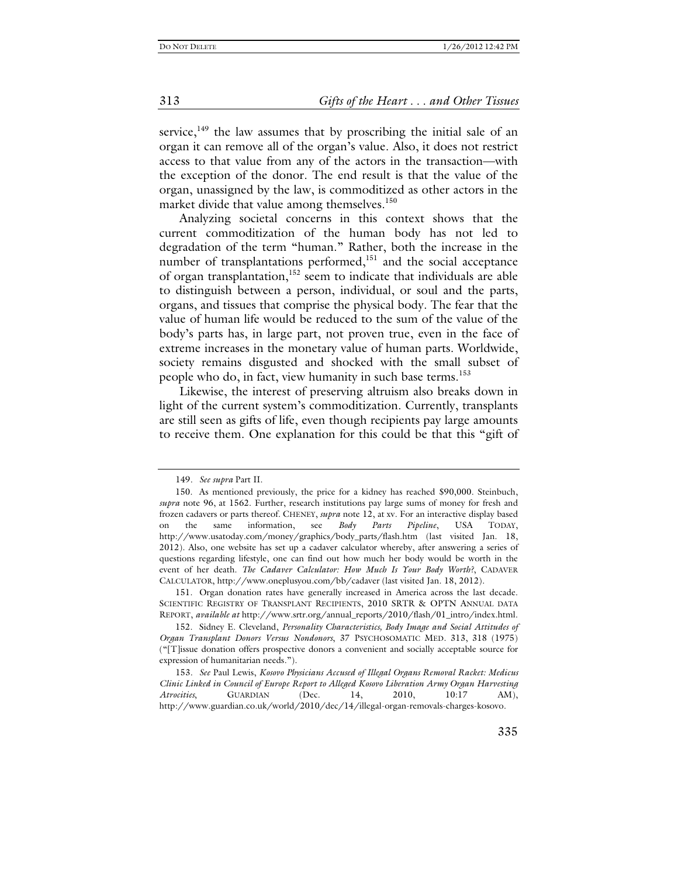service, $149$  the law assumes that by proscribing the initial sale of an organ it can remove all of the organ's value. Also, it does not restrict access to that value from any of the actors in the transaction—with the exception of the donor. The end result is that the value of the organ, unassigned by the law, is commoditized as other actors in the market divide that value among themselves.<sup>150</sup>

Analyzing societal concerns in this context shows that the current commoditization of the human body has not led to degradation of the term "human." Rather, both the increase in the number of transplantations performed, $151$  and the social acceptance of organ transplantation,  $\frac{152}{152}$  seem to indicate that individuals are able to distinguish between a person, individual, or soul and the parts, organs, and tissues that comprise the physical body. The fear that the value of human life would be reduced to the sum of the value of the body's parts has, in large part, not proven true, even in the face of extreme increases in the monetary value of human parts. Worldwide, society remains disgusted and shocked with the small subset of people who do, in fact, view humanity in such base terms.<sup>153</sup>

Likewise, the interest of preserving altruism also breaks down in light of the current system's commoditization. Currently, transplants are still seen as gifts of life, even though recipients pay large amounts to receive them. One explanation for this could be that this "gift of

<sup>149</sup>*. See supra* Part II.

 <sup>150.</sup> As mentioned previously, the price for a kidney has reached \$90,000. Steinbuch, *supra* note 96, at 1562. Further, research institutions pay large sums of money for fresh and frozen cadavers or parts thereof. CHENEY, *supra* note 12, at xv. For an interactive display based on the same information, see *Body Parts Pipeline*, USA TODAY, http://www.usatoday.com/money/graphics/body\_parts/flash.htm (last visited Jan. 18, 2012). Also, one website has set up a cadaver calculator whereby, after answering a series of questions regarding lifestyle, one can find out how much her body would be worth in the event of her death. *The Cadaver Calculator: How Much Is Your Body Worth?*, CADAVER CALCULATOR, http://www.oneplusyou.com/bb/cadaver (last visited Jan. 18, 2012).

 <sup>151.</sup> Organ donation rates have generally increased in America across the last decade. SCIENTIFIC REGISTRY OF TRANSPLANT RECIPIENTS, 2010 SRTR & OPTN ANNUAL DATA REPORT, *available at* http://www.srtr.org/annual\_reports/2010/flash/01\_intro/index.html.

 <sup>152.</sup> Sidney E. Cleveland, *Personality Characteristics, Body Image and Social Attitudes of Organ Transplant Donors Versus Nondonors*, 37 PSYCHOSOMATIC MED. 313, 318 (1975) ("[T]issue donation offers prospective donors a convenient and socially acceptable source for expression of humanitarian needs.").

<sup>153</sup>*. See* Paul Lewis, *Kosovo Physicians Accused of Illegal Organs Removal Racket: Medicus Clinic Linked in Council of Europe Report to Alleged Kosovo Liberation Army Organ Harvesting Atrocities*, GUARDIAN (Dec. 14, 2010, 10:17 AM), http://www.guardian.co.uk/world/2010/dec/14/illegal-organ-removals-charges-kosovo.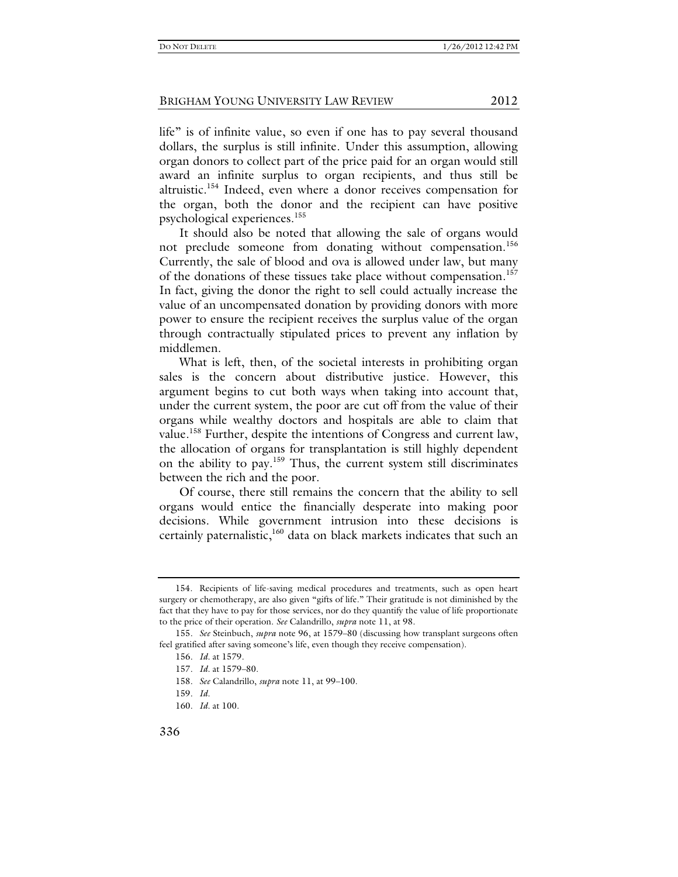life" is of infinite value, so even if one has to pay several thousand dollars, the surplus is still infinite. Under this assumption, allowing organ donors to collect part of the price paid for an organ would still award an infinite surplus to organ recipients, and thus still be altruistic.154 Indeed, even where a donor receives compensation for the organ, both the donor and the recipient can have positive psychological experiences.155

It should also be noted that allowing the sale of organs would not preclude someone from donating without compensation.<sup>156</sup> Currently, the sale of blood and ova is allowed under law, but many of the donations of these tissues take place without compensation.<sup>157</sup> In fact, giving the donor the right to sell could actually increase the value of an uncompensated donation by providing donors with more power to ensure the recipient receives the surplus value of the organ through contractually stipulated prices to prevent any inflation by middlemen.

What is left, then, of the societal interests in prohibiting organ sales is the concern about distributive justice. However, this argument begins to cut both ways when taking into account that, under the current system, the poor are cut off from the value of their organs while wealthy doctors and hospitals are able to claim that value.158 Further, despite the intentions of Congress and current law, the allocation of organs for transplantation is still highly dependent on the ability to pay.159 Thus, the current system still discriminates between the rich and the poor.

Of course, there still remains the concern that the ability to sell organs would entice the financially desperate into making poor decisions. While government intrusion into these decisions is certainly paternalistic, $160$  data on black markets indicates that such an

 <sup>154.</sup> Recipients of life-saving medical procedures and treatments, such as open heart surgery or chemotherapy, are also given "gifts of life." Their gratitude is not diminished by the fact that they have to pay for those services, nor do they quantify the value of life proportionate to the price of their operation. *See* Calandrillo, *supra* note 11, at 98.

<sup>155</sup>*. See* Steinbuch, *supra* note 96, at 1579–80 (discussing how transplant surgeons often feel gratified after saving someone's life, even though they receive compensation).

<sup>156</sup>*. Id.* at 1579.

<sup>157</sup>*. Id.* at 1579–80.

<sup>158</sup>*. See* Calandrillo, *supra* note 11, at 99–100.

<sup>159</sup>*. Id.*

<sup>160</sup>*. Id.* at 100.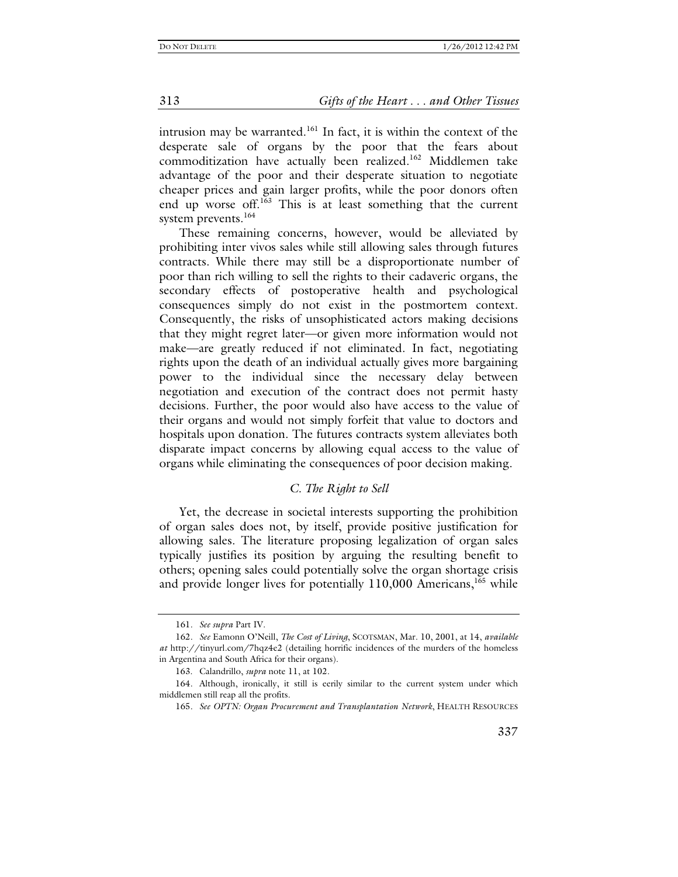intrusion may be warranted.<sup>161</sup> In fact, it is within the context of the desperate sale of organs by the poor that the fears about commoditization have actually been realized.<sup>162</sup> Middlemen take advantage of the poor and their desperate situation to negotiate cheaper prices and gain larger profits, while the poor donors often end up worse off.<sup>163</sup> This is at least something that the current system prevents.<sup>164</sup>

These remaining concerns, however, would be alleviated by prohibiting inter vivos sales while still allowing sales through futures contracts. While there may still be a disproportionate number of poor than rich willing to sell the rights to their cadaveric organs, the secondary effects of postoperative health and psychological consequences simply do not exist in the postmortem context. Consequently, the risks of unsophisticated actors making decisions that they might regret later—or given more information would not make—are greatly reduced if not eliminated. In fact, negotiating rights upon the death of an individual actually gives more bargaining power to the individual since the necessary delay between negotiation and execution of the contract does not permit hasty decisions. Further, the poor would also have access to the value of their organs and would not simply forfeit that value to doctors and hospitals upon donation. The futures contracts system alleviates both disparate impact concerns by allowing equal access to the value of organs while eliminating the consequences of poor decision making.

#### *C. The Right to Sell*

Yet, the decrease in societal interests supporting the prohibition of organ sales does not, by itself, provide positive justification for allowing sales. The literature proposing legalization of organ sales typically justifies its position by arguing the resulting benefit to others; opening sales could potentially solve the organ shortage crisis and provide longer lives for potentially 110,000 Americans,<sup>165</sup> while

<sup>161</sup>*. See supra* Part IV.

<sup>162</sup>*. See* Eamonn O'Neill, *The Cost of Living*, SCOTSMAN, Mar. 10, 2001, at 14, *available at* http://tinyurl.com/7hqz4e2 (detailing horrific incidences of the murders of the homeless in Argentina and South Africa for their organs).

 <sup>163.</sup> Calandrillo, *supra* note 11, at 102.

 <sup>164.</sup> Although, ironically, it still is eerily similar to the current system under which middlemen still reap all the profits.

<sup>165</sup>*. See OPTN: Organ Procurement and Transplantation Network*, HEALTH RESOURCES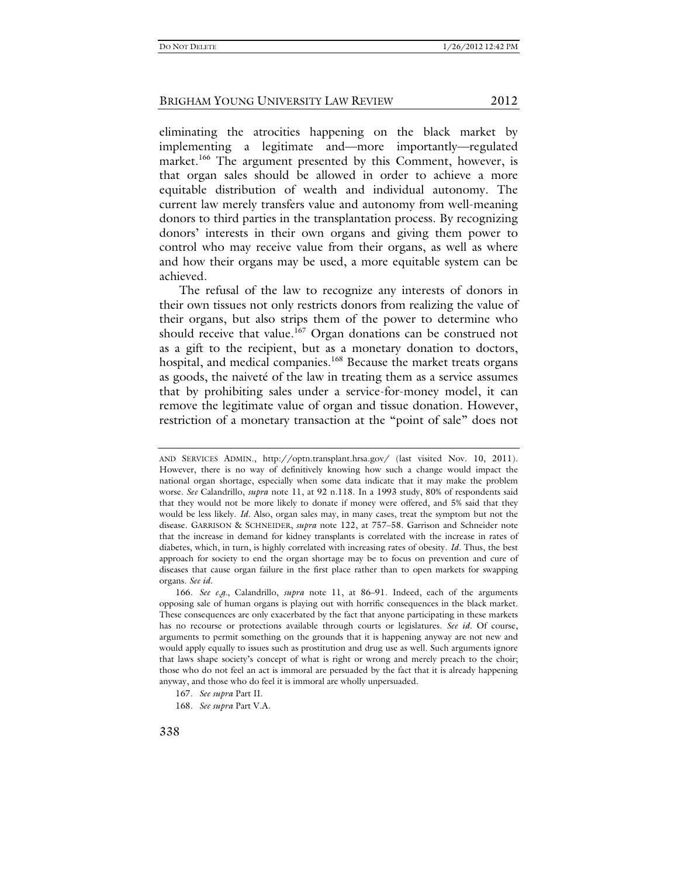eliminating the atrocities happening on the black market by implementing a legitimate and—more importantly—regulated market.<sup>166</sup> The argument presented by this Comment, however, is that organ sales should be allowed in order to achieve a more equitable distribution of wealth and individual autonomy. The current law merely transfers value and autonomy from well-meaning donors to third parties in the transplantation process. By recognizing donors' interests in their own organs and giving them power to control who may receive value from their organs, as well as where and how their organs may be used, a more equitable system can be achieved.

The refusal of the law to recognize any interests of donors in their own tissues not only restricts donors from realizing the value of their organs, but also strips them of the power to determine who should receive that value.<sup>167</sup> Organ donations can be construed not as a gift to the recipient, but as a monetary donation to doctors, hospital, and medical companies.<sup>168</sup> Because the market treats organs as goods, the naiveté of the law in treating them as a service assumes that by prohibiting sales under a service-for-money model, it can remove the legitimate value of organ and tissue donation. However, restriction of a monetary transaction at the "point of sale" does not

AND SERVICES ADMIN., http://optn.transplant.hrsa.gov/ (last visited Nov. 10, 2011). However, there is no way of definitively knowing how such a change would impact the national organ shortage, especially when some data indicate that it may make the problem worse. *See* Calandrillo, *supra* note 11, at 92 n.118. In a 1993 study, 80% of respondents said that they would not be more likely to donate if money were offered, and 5% said that they would be less likely. *Id.* Also, organ sales may, in many cases, treat the symptom but not the disease. GARRISON & SCHNEIDER, *supra* note 122, at 757–58. Garrison and Schneider note that the increase in demand for kidney transplants is correlated with the increase in rates of diabetes, which, in turn, is highly correlated with increasing rates of obesity. *Id.* Thus, the best approach for society to end the organ shortage may be to focus on prevention and cure of diseases that cause organ failure in the first place rather than to open markets for swapping organs. *See id.*

<sup>166</sup>*. See e.g.*, Calandrillo, *supra* note 11, at 86–91. Indeed, each of the arguments opposing sale of human organs is playing out with horrific consequences in the black market. These consequences are only exacerbated by the fact that anyone participating in these markets has no recourse or protections available through courts or legislatures. *See id.* Of course, arguments to permit something on the grounds that it is happening anyway are not new and would apply equally to issues such as prostitution and drug use as well. Such arguments ignore that laws shape society's concept of what is right or wrong and merely preach to the choir; those who do not feel an act is immoral are persuaded by the fact that it is already happening anyway, and those who do feel it is immoral are wholly unpersuaded.

<sup>167</sup>*. See supra* Part II.

<sup>168</sup>*. See supra* Part V.A.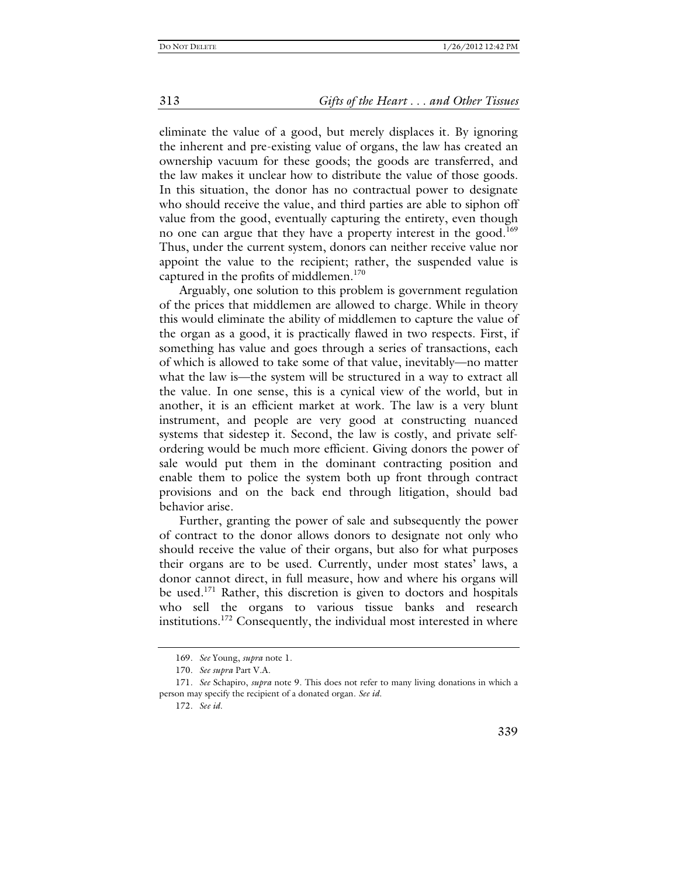eliminate the value of a good, but merely displaces it. By ignoring the inherent and pre-existing value of organs, the law has created an ownership vacuum for these goods; the goods are transferred, and the law makes it unclear how to distribute the value of those goods. In this situation, the donor has no contractual power to designate who should receive the value, and third parties are able to siphon off value from the good, eventually capturing the entirety, even though no one can argue that they have a property interest in the good.<sup>169</sup> Thus, under the current system, donors can neither receive value nor appoint the value to the recipient; rather, the suspended value is captured in the profits of middlemen.<sup>170</sup>

Arguably, one solution to this problem is government regulation of the prices that middlemen are allowed to charge. While in theory this would eliminate the ability of middlemen to capture the value of the organ as a good, it is practically flawed in two respects. First, if something has value and goes through a series of transactions, each of which is allowed to take some of that value, inevitably—no matter what the law is—the system will be structured in a way to extract all the value. In one sense, this is a cynical view of the world, but in another, it is an efficient market at work. The law is a very blunt instrument, and people are very good at constructing nuanced systems that sidestep it. Second, the law is costly, and private selfordering would be much more efficient. Giving donors the power of sale would put them in the dominant contracting position and enable them to police the system both up front through contract provisions and on the back end through litigation, should bad behavior arise.

Further, granting the power of sale and subsequently the power of contract to the donor allows donors to designate not only who should receive the value of their organs, but also for what purposes their organs are to be used. Currently, under most states' laws, a donor cannot direct, in full measure, how and where his organs will be used.<sup>171</sup> Rather, this discretion is given to doctors and hospitals who sell the organs to various tissue banks and research institutions.<sup>172</sup> Consequently, the individual most interested in where

339

<sup>169</sup>*. See* Young, *supra* note 1.

<sup>170</sup>*. See supra* Part V.A.

<sup>171</sup>*. See* Schapiro, *supra* note 9. This does not refer to many living donations in which a person may specify the recipient of a donated organ. *See id.*

<sup>172</sup>*. See id.*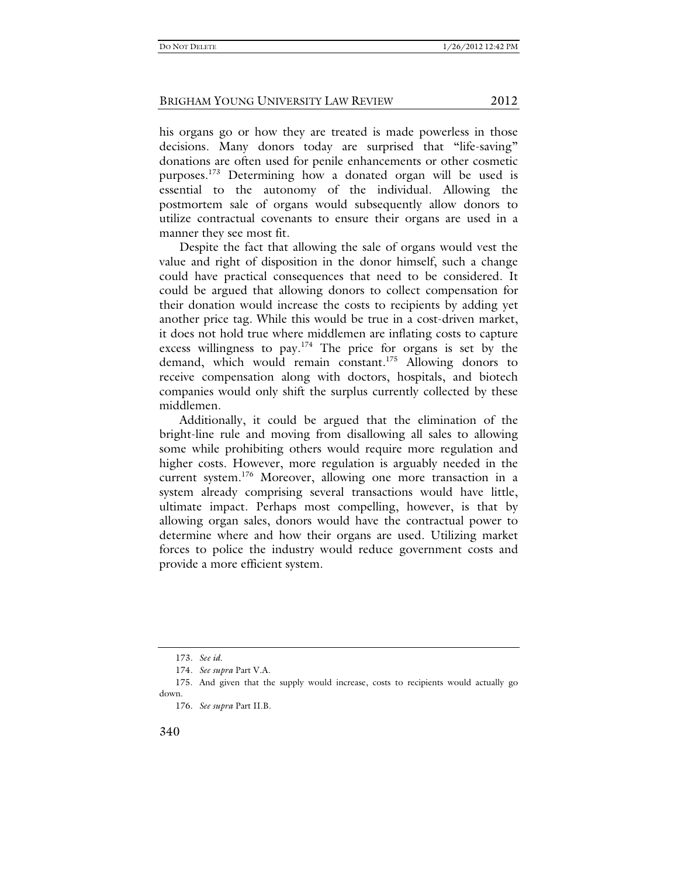his organs go or how they are treated is made powerless in those decisions. Many donors today are surprised that "life-saving" donations are often used for penile enhancements or other cosmetic purposes.<sup>173</sup> Determining how a donated organ will be used is essential to the autonomy of the individual. Allowing the postmortem sale of organs would subsequently allow donors to utilize contractual covenants to ensure their organs are used in a manner they see most fit.

Despite the fact that allowing the sale of organs would vest the value and right of disposition in the donor himself, such a change could have practical consequences that need to be considered. It could be argued that allowing donors to collect compensation for their donation would increase the costs to recipients by adding yet another price tag. While this would be true in a cost-driven market, it does not hold true where middlemen are inflating costs to capture excess willingness to pay.<sup>174</sup> The price for organs is set by the demand, which would remain constant.175 Allowing donors to receive compensation along with doctors, hospitals, and biotech companies would only shift the surplus currently collected by these middlemen.

Additionally, it could be argued that the elimination of the bright-line rule and moving from disallowing all sales to allowing some while prohibiting others would require more regulation and higher costs. However, more regulation is arguably needed in the current system.176 Moreover, allowing one more transaction in a system already comprising several transactions would have little, ultimate impact. Perhaps most compelling, however, is that by allowing organ sales, donors would have the contractual power to determine where and how their organs are used. Utilizing market forces to police the industry would reduce government costs and provide a more efficient system.

<sup>173</sup>*. See id.*

<sup>174</sup>*. See supra* Part V.A.

 <sup>175.</sup> And given that the supply would increase, costs to recipients would actually go down.

<sup>176</sup>*. See supra* Part II.B.